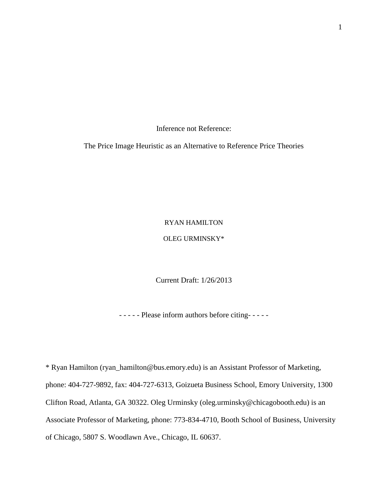Inference not Reference:

The Price Image Heuristic as an Alternative to Reference Price Theories

### RYAN HAMILTON

### OLEG URMINSKY\*

Current Draft: 1/26/2013

- - - - - Please inform authors before citing- - - - -

\* Ryan Hamilton (ryan\_hamilton@bus.emory.edu) is an Assistant Professor of Marketing, phone: 404-727-9892, fax: 404-727-6313, Goizueta Business School, Emory University, 1300 Clifton Road, Atlanta, GA 30322. Oleg Urminsky (oleg.urminsky@chicagobooth.edu) is an Associate Professor of Marketing, phone: 773-834-4710, Booth School of Business, University of Chicago, 5807 S. Woodlawn Ave., Chicago, IL 60637.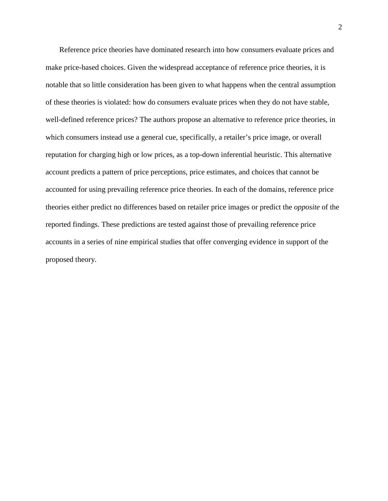Reference price theories have dominated research into how consumers evaluate prices and make price-based choices. Given the widespread acceptance of reference price theories, it is notable that so little consideration has been given to what happens when the central assumption of these theories is violated: how do consumers evaluate prices when they do not have stable, well-defined reference prices? The authors propose an alternative to reference price theories, in which consumers instead use a general cue, specifically, a retailer's price image, or overall reputation for charging high or low prices, as a top-down inferential heuristic. This alternative account predicts a pattern of price perceptions, price estimates, and choices that cannot be accounted for using prevailing reference price theories. In each of the domains, reference price theories either predict no differences based on retailer price images or predict the *opposite* of the reported findings. These predictions are tested against those of prevailing reference price accounts in a series of nine empirical studies that offer converging evidence in support of the proposed theory.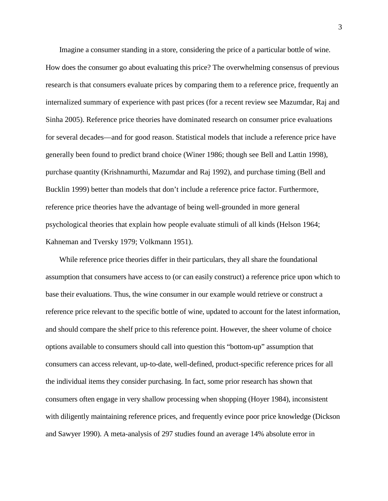Imagine a consumer standing in a store, considering the price of a particular bottle of wine. How does the consumer go about evaluating this price? The overwhelming consensus of previous research is that consumers evaluate prices by comparing them to a reference price, frequently an internalized summary of experience with past prices (for a recent review see [Mazumdar, Raj and](#page-45-0)  Sinha 2005). Reference price theories have dominated research on consumer price evaluations for several decades—and for good reason. Statistical models that include a reference price have generally been found to predict brand choice [\(Winer 1986;](#page-47-0) though see [Bell and Lattin 1998\)](#page-43-0), purchase quantity [\(Krishnamurthi, Mazumdar and Raj 1992\)](#page-45-1), and purchase timing [\(Bell and](#page-43-1)  Bucklin 1999) better than models that don't include a reference price factor. Furthermore, reference price theories have the advantage of being well-grounded in more general psychological theories that explain how people evaluate stimuli of all kinds [\(Helson 1964;](#page-44-0) [Kahneman and Tversky 1979;](#page-44-1) [Volkmann 1951\)](#page-47-1).

While reference price theories differ in their particulars, they all share the foundational assumption that consumers have access to (or can easily construct) a reference price upon which to base their evaluations. Thus, the wine consumer in our example would retrieve or construct a reference price relevant to the specific bottle of wine, updated to account for the latest information, and should compare the shelf price to this reference point. However, the sheer volume of choice options available to consumers should call into question this "bottom-up" assumption that consumers can access relevant, up-to-date, well-defined, product-specific reference prices for all the individual items they consider purchasing. In fact, some prior research has shown that consumers often engage in very shallow processing when shopping [\(Hoyer 1984\)](#page-44-2), inconsistent with diligently maintaining reference prices, and frequently evince poor price knowledge [\(Dickson](#page-44-3)  and Sawyer 1990). A meta-analysis of 297 studies found an average 14% absolute error in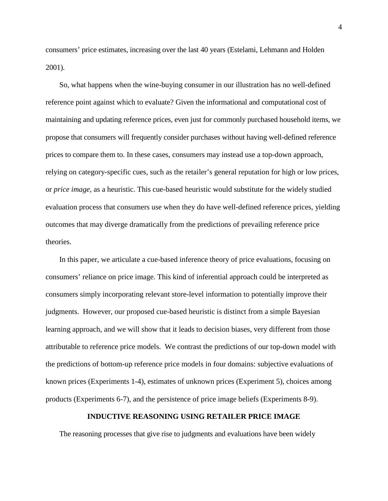consumers' price estimates, increasing over the last 40 years (Estelami, Lehmann and Holden 2001).

So, what happens when the wine-buying consumer in our illustration has no well-defined reference point against which to evaluate? Given the informational and computational cost of maintaining and updating reference prices, even just for commonly purchased household items, we propose that consumers will frequently consider purchases without having well-defined reference prices to compare them to. In these cases, consumers may instead use a top-down approach, relying on category-specific cues, such as the retailer's general reputation for high or low prices, or *price image*, as a heuristic. This cue-based heuristic would substitute for the widely studied evaluation process that consumers use when they do have well-defined reference prices, yielding outcomes that may diverge dramatically from the predictions of prevailing reference price theories.

In this paper, we articulate a cue-based inference theory of price evaluations, focusing on consumers' reliance on price image. This kind of inferential approach could be interpreted as consumers simply incorporating relevant store-level information to potentially improve their judgments. However, our proposed cue-based heuristic is distinct from a simple Bayesian learning approach, and we will show that it leads to decision biases, very different from those attributable to reference price models. We contrast the predictions of our top-down model with the predictions of bottom-up reference price models in four domains: subjective evaluations of known prices (Experiments 1-4), estimates of unknown prices (Experiment 5), choices among products (Experiments 6-7), and the persistence of price image beliefs (Experiments 8-9).

#### **INDUCTIVE REASONING USING RETAILER PRICE IMAGE**

The reasoning processes that give rise to judgments and evaluations have been widely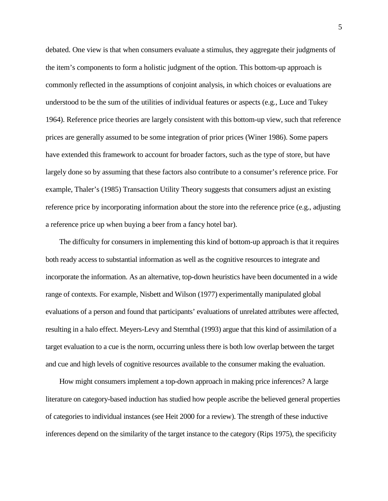debated. One view is that when consumers evaluate a stimulus, they aggregate their judgments of the item's components to form a holistic judgment of the option. This bottom-up approach is commonly reflected in the assumptions of conjoint analysis, in which choices or evaluations are understood to be the sum of the utilities of individual features or aspects (e.g., Luce and Tukey 1964). Reference price theories are largely consistent with this bottom-up view, such that reference prices are generally assumed to be some integration of prior prices (Winer 1986). Some papers have extended this framework to account for broader factors, such as the type of store, but have largely done so by assuming that these factors also contribute to a consumer's reference price. For example, Thaler's (1985) Transaction Utility Theory suggests that consumers adjust an existing reference price by incorporating information about the store into the reference price (e.g., adjusting a reference price up when buying a beer from a fancy hotel bar).

The difficulty for consumers in implementing this kind of bottom-up approach is that it requires both ready access to substantial information as well as the cognitive resources to integrate and incorporate the information. As an alternative, top-down heuristics have been documented in a wide range of contexts. For example, Nisbett and Wilson (1977) experimentally manipulated global evaluations of a person and found that participants' evaluations of unrelated attributes were affected, resulting in a halo effect. Meyers-Levy and Sternthal (1993) argue that this kind of assimilation of a target evaluation to a cue is the norm, occurring unless there is both low overlap between the target and cue and high levels of cognitive resources available to the consumer making the evaluation.

How might consumers implement a top-down approach in making price inferences? A large literature on category-based induction has studied how people ascribe the believed general properties of categories to individual instances (see Heit 2000 for a review). The strength of these inductive inferences depend on the similarity of the target instance to the category (Rips 1975), the specificity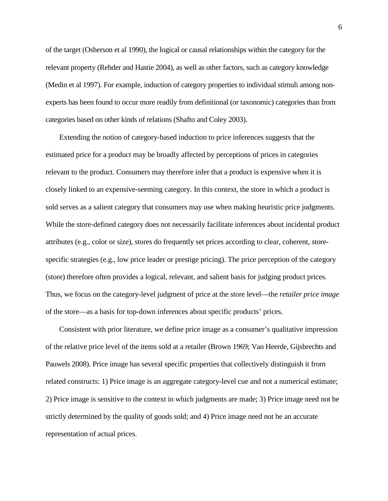of the target (Osherson et al 1990), the logical or causal relationships within the category for the relevant property (Rehder and Hastie 2004), as well as other factors, such as category knowledge (Medin et al 1997). For example, induction of category properties to individual stimuli among nonexperts has been found to occur more readily from definitional (or taxonomic) categories than from categories based on other kinds of relations (Shafto and Coley 2003).

Extending the notion of category-based induction to price inferences suggests that the estimated price for a product may be broadly affected by perceptions of prices in categories relevant to the product. Consumers may therefore infer that a product is expensive when it is closely linked to an expensive-seeming category. In this context, the store in which a product is sold serves as a salient category that consumers may use when making heuristic price judgments. While the store-defined category does not necessarily facilitate inferences about incidental product attributes (e.g., color or size), stores do frequently set prices according to clear, coherent, storespecific strategies (e.g., low price leader or prestige pricing). The price perception of the category (store) therefore often provides a logical, relevant, and salient basis for judging product prices. Thus, we focus on the category-level judgment of price at the store level—the *retailer price image* of the store—as a basis for top-down inferences about specific products' prices.

Consistent with prior literature, we define price image as a consumer's qualitative impression of the relative price level of the items sold at a retailer [\(Brown 1969;](#page-43-2) [Van Heerde, Gijsbrechts and](#page-47-2)  Pauwels 2008). Price image has several specific properties that collectively distinguish it from related constructs: 1) Price image is an aggregate category-level cue and not a numerical estimate; 2) Price image is sensitive to the context in which judgments are made; 3) Price image need not be strictly determined by the quality of goods sold; and 4) Price image need not be an accurate representation of actual prices.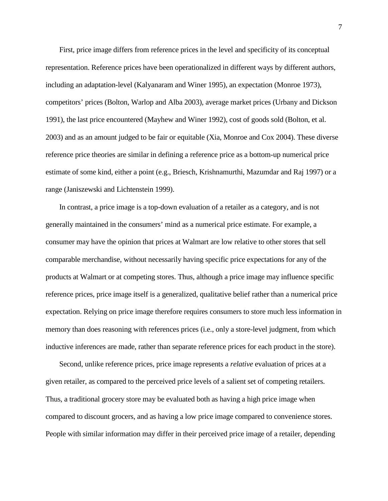First, price image differs from reference prices in the level and specificity of its conceptual representation. Reference prices have been operationalized in different ways by different authors, including an adaptation-level [\(Kalyanaram and Winer 1995\)](#page-44-4), an expectation [\(Monroe 1973\)](#page-45-2), competitors' prices [\(Bolton, Warlop and Alba 2003\)](#page-43-3), average market prices [\(Urbany and Dickson](#page-46-0)  1991), the last price encountered (Mayhew and Winer 1992), cost of goods sold [\(Bolton, et al.](#page-43-3)  2003) and as an amount judged to be fair or equitable [\(Xia, Monroe and Cox 2004\)](#page-47-3). These diverse reference price theories are similar in defining a reference price as a bottom-up numerical price estimate of some kind, either a point (e.g., [Briesch, Krishnamurthi, Mazumdar and Raj 1997\)](#page-43-4) or a range [\(Janiszewski and Lichtenstein 1999\)](#page-44-5).

In contrast, a price image is a top-down evaluation of a retailer as a category, and is not generally maintained in the consumers' mind as a numerical price estimate. For example, a consumer may have the opinion that prices at Walmart are low relative to other stores that sell comparable merchandise, without necessarily having specific price expectations for any of the products at Walmart or at competing stores. Thus, although a price image may influence specific reference prices, price image itself is a generalized, qualitative belief rather than a numerical price expectation. Relying on price image therefore requires consumers to store much less information in memory than does reasoning with references prices (i.e., only a store-level judgment, from which inductive inferences are made, rather than separate reference prices for each product in the store).

Second, unlike reference prices, price image represents a *relative* evaluation of prices at a given retailer, as compared to the perceived price levels of a salient set of competing retailers. Thus, a traditional grocery store may be evaluated both as having a high price image when compared to discount grocers, and as having a low price image compared to convenience stores. People with similar information may differ in their perceived price image of a retailer, depending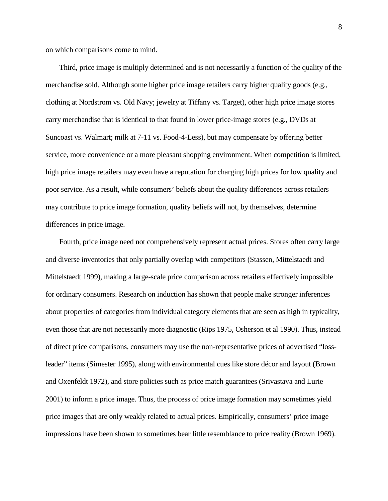on which comparisons come to mind.

Third, price image is multiply determined and is not necessarily a function of the quality of the merchandise sold. Although some higher price image retailers carry higher quality goods (e.g., clothing at Nordstrom vs. Old Navy; jewelry at Tiffany vs. Target), other high price image stores carry merchandise that is identical to that found in lower price-image stores (e.g., DVDs at Suncoast vs. Walmart; milk at 7-11 vs. Food-4-Less), but may compensate by offering better service, more convenience or a more pleasant shopping environment. When competition is limited, high price image retailers may even have a reputation for charging high prices for low quality and poor service. As a result, while consumers' beliefs about the quality differences across retailers may contribute to price image formation, quality beliefs will not, by themselves, determine differences in price image.

Fourth, price image need not comprehensively represent actual prices. Stores often carry large and diverse inventories that only partially overlap with competitors [\(Stassen, Mittelstaedt and](#page-46-1)  Mittelstaedt 1999), making a large-scale price comparison across retailers effectively impossible for ordinary consumers. Research on induction has shown that people make stronger inferences about properties of categories from individual category elements that are seen as high in typicality, even those that are not necessarily more diagnostic (Rips 1975, Osherson et al 1990). Thus, instead of direct price comparisons, consumers may use the non-representative prices of advertised "lossleader" items (Simester 1995), along with environmental cues like store décor and layout [\(Brown](#page-43-5)  and Oxenfeldt 1972), and store policies such as price match guarantees [\(Srivastava and Lurie](#page-46-2)  2001) to inform a price image. Thus, the process of price image formation may sometimes yield price images that are only weakly related to actual prices. Empirically, consumers' price image impressions have been shown to sometimes bear little resemblance to price reality (Brown [1969\)](#page-43-2).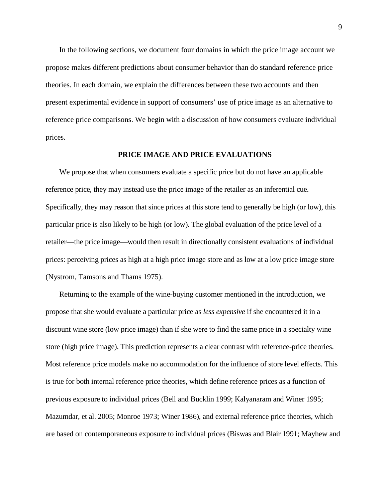In the following sections, we document four domains in which the price image account we propose makes different predictions about consumer behavior than do standard reference price theories. In each domain, we explain the differences between these two accounts and then present experimental evidence in support of consumers' use of price image as an alternative to reference price comparisons. We begin with a discussion of how consumers evaluate individual prices.

#### **PRICE IMAGE AND PRICE EVALUATIONS**

We propose that when consumers evaluate a specific price but do not have an applicable reference price, they may instead use the price image of the retailer as an inferential cue. Specifically, they may reason that since prices at this store tend to generally be high (or low), this particular price is also likely to be high (or low). The global evaluation of the price level of a retailer—the price image—would then result in directionally consistent evaluations of individual prices: perceiving prices as high at a high price image store and as low at a low price image store [\(Nystrom, Tamsons and Thams 1975\)](#page-45-3).

Returning to the example of the wine-buying customer mentioned in the introduction, we propose that she would evaluate a particular price as *less expensive* if she encountered it in a discount wine store (low price image) than if she were to find the same price in a specialty wine store (high price image). This prediction represents a clear contrast with reference-price theories. Most reference price models make no accommodation for the influence of store level effects. This is true for both internal reference price theories, which define reference prices as a function of previous exposure to individual prices [\(Bell and Bucklin 1999;](#page-43-1) [Kalyanaram and Winer 1995;](#page-44-4) [Mazumdar, et al. 2005;](#page-45-0) [Monroe 1973;](#page-45-2) [Winer 1986\)](#page-47-0), and external reference price theories, which are based on contemporaneous exposure to individual prices [\(Biswas and Blair 1991;](#page-43-6) [Mayhew and](#page-45-4)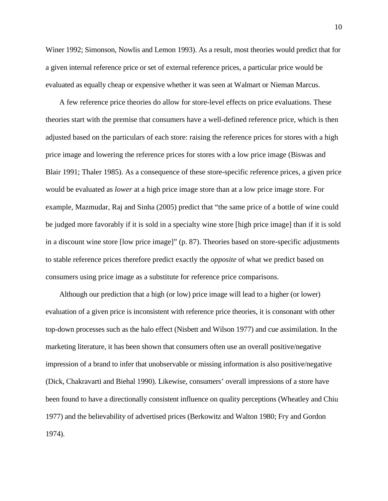Winer 1992; [Simonson, Nowlis and Lemon 1993\)](#page-46-3). As a result, most theories would predict that for a given internal reference price or set of external reference prices, a particular price would be evaluated as equally cheap or expensive whether it was seen at Walmart or Nieman Marcus.

A few reference price theories do allow for store-level effects on price evaluations. These theories start with the premise that consumers have a well-defined reference price, which is then adjusted based on the particulars of each store: raising the reference prices for stores with a high price image and lowering the reference prices for stores with a low price image [\(Biswas and](#page-43-6)  Blair 1991; [Thaler 1985\)](#page-46-4). As a consequence of these store-specific reference prices, a given price would be evaluated as *lower* at a high price image store than at a low price image store. For example, Mazmudar, Raj and Sinha (2005) predict that "the same price of a bottle of wine could be judged more favorably if it is sold in a specialty wine store [high price image] than if it is sold in a discount wine store [low price image]" (p. 87). Theories based on store-specific adjustments to stable reference prices therefore predict exactly the *opposite* of what we predict based on consumers using price image as a substitute for reference price comparisons.

Although our prediction that a high (or low) price image will lead to a higher (or lower) evaluation of a given price is inconsistent with reference price theories, it is consonant with other top-down processes such as the halo effect [\(Nisbett and Wilson 1977\)](#page-45-5) and cue assimilation. In the marketing literature, it has been shown that consumers often use an overall positive/negative impression of a brand to infer that unobservable or missing information is also positive/negative [\(Dick, Chakravarti and Biehal 1990\)](#page-44-6). Likewise, consumers' overall impressions of a store have been found to have a directionally consistent influence on quality perceptions [\(Wheatley and Chiu](#page-47-4)  1977) and the believability of advertised prices [\(Berkowitz and Walton 1980;](#page-43-7) [Fry and Gordon](#page-44-7)  1974).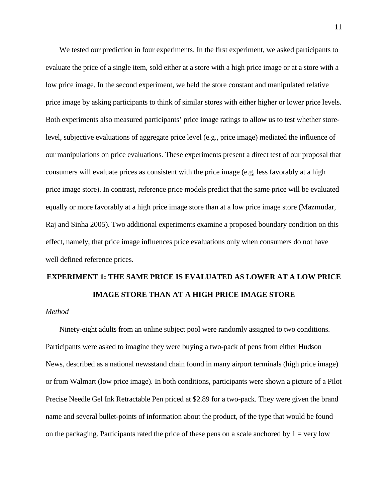We tested our prediction in four experiments. In the first experiment, we asked participants to evaluate the price of a single item, sold either at a store with a high price image or at a store with a low price image. In the second experiment, we held the store constant and manipulated relative price image by asking participants to think of similar stores with either higher or lower price levels. Both experiments also measured participants' price image ratings to allow us to test whether storelevel, subjective evaluations of aggregate price level (e.g., price image) mediated the influence of our manipulations on price evaluations. These experiments present a direct test of our proposal that consumers will evaluate prices as consistent with the price image (e.g, less favorably at a high price image store). In contrast, reference price models predict that the same price will be evaluated equally or more favorably at a high price image store than at a low price image store (Mazmudar, Raj and Sinha 2005). Two additional experiments examine a proposed boundary condition on this effect, namely, that price image influences price evaluations only when consumers do not have well defined reference prices.

# **EXPERIMENT 1: THE SAME PRICE IS EVALUATED AS LOWER AT A LOW PRICE IMAGE STORE THAN AT A HIGH PRICE IMAGE STORE**

### *Method*

Ninety-eight adults from an online subject pool were randomly assigned to two conditions. Participants were asked to imagine they were buying a two-pack of pens from either Hudson News, described as a national newsstand chain found in many airport terminals (high price image) or from Walmart (low price image). In both conditions, participants were shown a picture of a Pilot Precise Needle Gel Ink Retractable Pen priced at \$2.89 for a two-pack. They were given the brand name and several bullet-points of information about the product, of the type that would be found on the packaging. Participants rated the price of these pens on a scale anchored by  $1 = \text{very low}$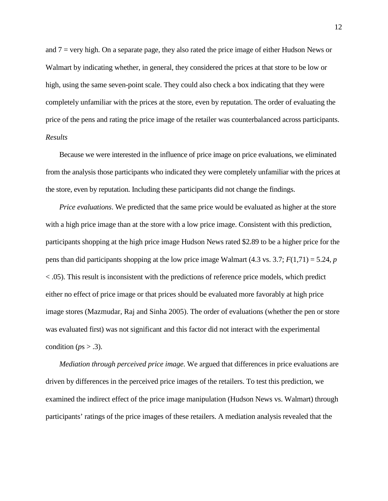and 7 = very high. On a separate page, they also rated the price image of either Hudson News or Walmart by indicating whether, in general, they considered the prices at that store to be low or high, using the same seven-point scale. They could also check a box indicating that they were completely unfamiliar with the prices at the store, even by reputation. The order of evaluating the price of the pens and rating the price image of the retailer was counterbalanced across participants. *Results*

Because we were interested in the influence of price image on price evaluations, we eliminated from the analysis those participants who indicated they were completely unfamiliar with the prices at the store, even by reputation. Including these participants did not change the findings.

*Price evaluations*. We predicted that the same price would be evaluated as higher at the store with a high price image than at the store with a low price image. Consistent with this prediction, participants shopping at the high price image Hudson News rated \$2.89 to be a higher price for the pens than did participants shopping at the low price image Walmart (4.3 vs. 3.7; *F*(1,71) = 5.24, *p* < .05). This result is inconsistent with the predictions of reference price models, which predict either no effect of price image or that prices should be evaluated more favorably at high price image stores (Mazmudar, Raj and Sinha 2005). The order of evaluations (whether the pen or store was evaluated first) was not significant and this factor did not interact with the experimental condition ( $ps > .3$ ).

*Mediation through perceived price image*. We argued that differences in price evaluations are driven by differences in the perceived price images of the retailers. To test this prediction, we examined the indirect effect of the price image manipulation (Hudson News vs. Walmart) through participants' ratings of the price images of these retailers. A mediation analysis revealed that the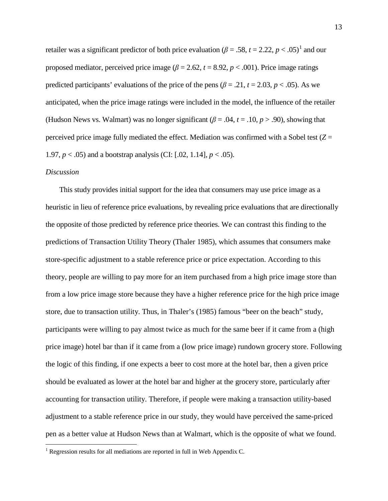retailer was a significant predictor of both price evaluation ( $\beta$  = .58, *t* = 2.22, *p* < .05)<sup>[1](#page-12-0)</sup> and our proposed mediator, perceived price image ( $\beta$  = 2.62,  $t$  = 8.92,  $p$  < .001). Price image ratings predicted participants' evaluations of the price of the pens ( $\beta = .21$ ,  $t = 2.03$ ,  $p < .05$ ). As we anticipated, when the price image ratings were included in the model, the influence of the retailer (Hudson News vs. Walmart) was no longer significant ( $\beta$  = .04,  $t$  = .10,  $p$  > .90), showing that perceived price image fully mediated the effect. Mediation was confirmed with a Sobel test  $(Z =$ 1.97,  $p < .05$ ) and a bootstrap analysis (CI: [.02, 1.14],  $p < .05$ ).

#### *Discussion*

This study provides initial support for the idea that consumers may use price image as a heuristic in lieu of reference price evaluations, by revealing price evaluations that are directionally the opposite of those predicted by reference price theories. We can contrast this finding to the predictions of Transaction Utility Theory [\(Thaler 1985\)](#page-46-4), which assumes that consumers make store-specific adjustment to a stable reference price or price expectation. According to this theory, people are willing to pay more for an item purchased from a high price image store than from a low price image store because they have a higher reference price for the high price image store, due to transaction utility. Thus, in Thaler's (1985) famous "beer on the beach" study, participants were willing to pay almost twice as much for the same beer if it came from a (high price image) hotel bar than if it came from a (low price image) rundown grocery store. Following the logic of this finding, if one expects a beer to cost more at the hotel bar, then a given price should be evaluated as lower at the hotel bar and higher at the grocery store, particularly after accounting for transaction utility. Therefore, if people were making a transaction utility-based adjustment to a stable reference price in our study, they would have perceived the same-priced pen as a better value at Hudson News than at Walmart, which is the opposite of what we found.

<span id="page-12-0"></span> $1$  Regression results for all mediations are reported in full in Web Appendix C.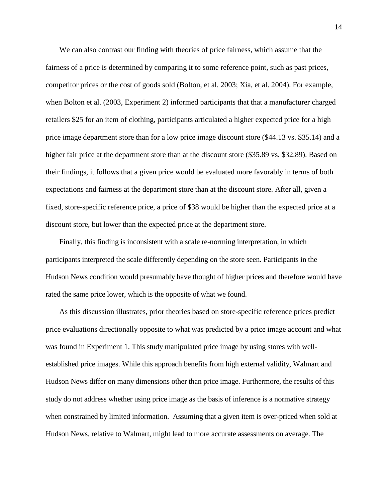We can also contrast our finding with theories of price fairness, which assume that the fairness of a price is determined by comparing it to some reference point, such as past prices, competitor prices or the cost of goods sold [\(Bolton, et al. 2003;](#page-43-3) [Xia, et al. 2004\)](#page-47-3). For example, when Bolton et al. (2003, Experiment 2) informed participants that that a manufacturer charged retailers \$25 for an item of clothing, participants articulated a higher expected price for a high price image department store than for a low price image discount store (\$44.13 vs. \$35.14) and a higher fair price at the department store than at the discount store (\$35.89 vs. \$32.89). Based on their findings, it follows that a given price would be evaluated more favorably in terms of both expectations and fairness at the department store than at the discount store. After all, given a fixed, store-specific reference price, a price of \$38 would be higher than the expected price at a discount store, but lower than the expected price at the department store.

Finally, this finding is inconsistent with a scale re-norming interpretation, in which participants interpreted the scale differently depending on the store seen. Participants in the Hudson News condition would presumably have thought of higher prices and therefore would have rated the same price lower, which is the opposite of what we found.

As this discussion illustrates, prior theories based on store-specific reference prices predict price evaluations directionally opposite to what was predicted by a price image account and what was found in Experiment 1. This study manipulated price image by using stores with wellestablished price images. While this approach benefits from high external validity, Walmart and Hudson News differ on many dimensions other than price image. Furthermore, the results of this study do not address whether using price image as the basis of inference is a normative strategy when constrained by limited information. Assuming that a given item is over-priced when sold at Hudson News, relative to Walmart, might lead to more accurate assessments on average. The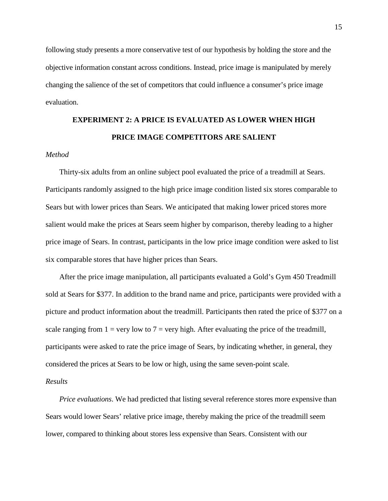following study presents a more conservative test of our hypothesis by holding the store and the objective information constant across conditions. Instead, price image is manipulated by merely changing the salience of the set of competitors that could influence a consumer's price image evaluation.

# **EXPERIMENT 2: A PRICE IS EVALUATED AS LOWER WHEN HIGH PRICE IMAGE COMPETITORS ARE SALIENT**

### *Method*

Thirty-six adults from an online subject pool evaluated the price of a treadmill at Sears. Participants randomly assigned to the high price image condition listed six stores comparable to Sears but with lower prices than Sears. We anticipated that making lower priced stores more salient would make the prices at Sears seem higher by comparison, thereby leading to a higher price image of Sears. In contrast, participants in the low price image condition were asked to list six comparable stores that have higher prices than Sears.

After the price image manipulation, all participants evaluated a Gold's Gym 450 Treadmill sold at Sears for \$377. In addition to the brand name and price, participants were provided with a picture and product information about the treadmill. Participants then rated the price of \$377 on a scale ranging from  $1 = \text{very low to } 7 = \text{very high. After evaluating the price of the treadmill, }$ participants were asked to rate the price image of Sears, by indicating whether, in general, they considered the prices at Sears to be low or high, using the same seven-point scale.

#### *Results*

*Price evaluations*. We had predicted that listing several reference stores more expensive than Sears would lower Sears' relative price image, thereby making the price of the treadmill seem lower, compared to thinking about stores less expensive than Sears. Consistent with our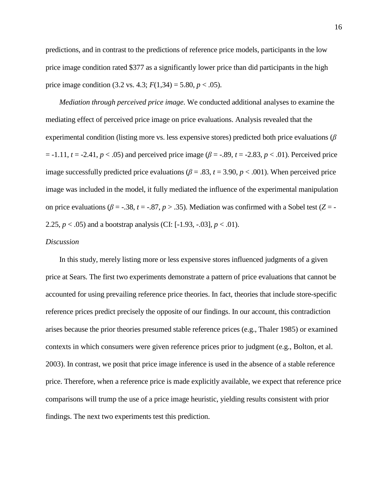predictions, and in contrast to the predictions of reference price models, participants in the low price image condition rated \$377 as a significantly lower price than did participants in the high price image condition  $(3.2 \text{ vs. } 4.3; F(1,34) = 5.80, p < .05)$ .

*Mediation through perceived price image*. We conducted additional analyses to examine the mediating effect of perceived price image on price evaluations. Analysis revealed that the experimental condition (listing more vs. less expensive stores) predicted both price evaluations (*β*  $t = -1.11$ ,  $t = -2.41$ ,  $p < .05$ ) and perceived price image ( $\beta = -.89$ ,  $t = -2.83$ ,  $p < .01$ ). Perceived price image successfully predicted price evaluations ( $\beta = .83$ ,  $t = 3.90$ ,  $p < .001$ ). When perceived price image was included in the model, it fully mediated the influence of the experimental manipulation on price evaluations ( $\beta$  = -.38,  $t$  = -.87,  $p > .35$ ). Mediation was confirmed with a Sobel test ( $Z$  = -2.25,  $p < .05$ ) and a bootstrap analysis (CI: [-1.93, -.03],  $p < .01$ ).

### *Discussion*

In this study, merely listing more or less expensive stores influenced judgments of a given price at Sears. The first two experiments demonstrate a pattern of price evaluations that cannot be accounted for using prevailing reference price theories. In fact, theories that include store-specific reference prices predict precisely the opposite of our findings. In our account, this contradiction arises because the prior theories presumed stable reference prices (e.g., [Thaler 1985\)](#page-46-4) or examined contexts in which consumers were given reference prices prior to judgment (e.g., [Bolton, et al.](#page-43-3)  2003). In contrast, we posit that price image inference is used in the absence of a stable reference price. Therefore, when a reference price is made explicitly available, we expect that reference price comparisons will trump the use of a price image heuristic, yielding results consistent with prior findings. The next two experiments test this prediction.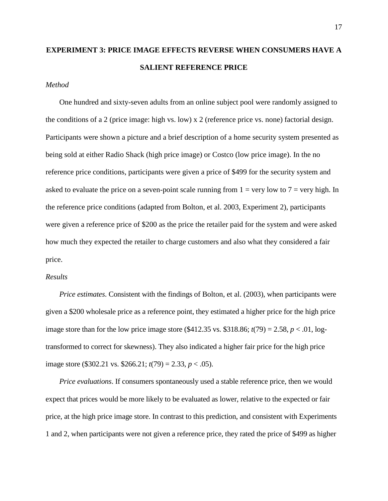## **EXPERIMENT 3: PRICE IMAGE EFFECTS REVERSE WHEN CONSUMERS HAVE A SALIENT REFERENCE PRICE**

#### *Method*

One hundred and sixty-seven adults from an online subject pool were randomly assigned to the conditions of a 2 (price image: high vs. low) x 2 (reference price vs. none) factorial design. Participants were shown a picture and a brief description of a home security system presented as being sold at either Radio Shack (high price image) or Costco (low price image). In the no reference price conditions, participants were given a price of \$499 for the security system and asked to evaluate the price on a seven-point scale running from  $1 = \text{very low to } 7 = \text{very high}$ . In the reference price conditions (adapted from [Bolton, et al. 2003,](#page-43-3) Experiment 2), participants were given a reference price of \$200 as the price the retailer paid for the system and were asked how much they expected the retailer to charge customers and also what they considered a fair price.

#### *Results*

*Price estimates*. Consistent with the findings of [Bolton, et](#page-43-3) al. (2003), when participants were given a \$200 wholesale price as a reference point, they estimated a higher price for the high price image store than for the low price image store  $(\$412.35 \text{ vs. } \$318.86; t(79) = 2.58, p < .01, \text{log-}1$ transformed to correct for skewness). They also indicated a higher fair price for the high price image store (\$302.21 vs. \$266.21; *t*(79) = 2.33, *p* < .05).

*Price evaluations*. If consumers spontaneously used a stable reference price, then we would expect that prices would be more likely to be evaluated as lower, relative to the expected or fair price, at the high price image store. In contrast to this prediction, and consistent with Experiments 1 and 2, when participants were not given a reference price, they rated the price of \$499 as higher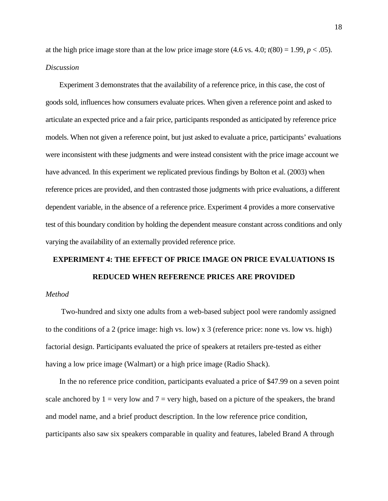at the high price image store than at the low price image store  $(4.6 \text{ vs. } 4.0; t(80) = 1.99, p < .05)$ . *Discussion*

Experiment 3 demonstrates that the availability of a reference price, in this case, the cost of goods sold, influences how consumers evaluate prices. When given a reference point and asked to articulate an expected price and a fair price, participants responded as anticipated by reference price models. When not given a reference point, but just asked to evaluate a price, participants' evaluations were inconsistent with these judgments and were instead consistent with the price image account we have advanced. In this experiment we replicated previous findings by Bolton et al. (2003) when reference prices are provided, and then contrasted those judgments with price evaluations, a different dependent variable, in the absence of a reference price. Experiment 4 provides a more conservative test of this boundary condition by holding the dependent measure constant across conditions and only varying the availability of an externally provided reference price.

# **EXPERIMENT 4: THE EFFECT OF PRICE IMAGE ON PRICE EVALUATIONS IS REDUCED WHEN REFERENCE PRICES ARE PROVIDED**

### *Method*

Two-hundred and sixty one adults from a web-based subject pool were randomly assigned to the conditions of a 2 (price image: high vs. low) x 3 (reference price: none vs. low vs. high) factorial design. Participants evaluated the price of speakers at retailers pre-tested as either having a low price image (Walmart) or a high price image (Radio Shack).

In the no reference price condition, participants evaluated a price of \$47.99 on a seven point scale anchored by  $1 = \text{very low and } 7 = \text{very high, based on a picture of the speakers, the brand$ and model name, and a brief product description. In the low reference price condition, participants also saw six speakers comparable in quality and features, labeled Brand A through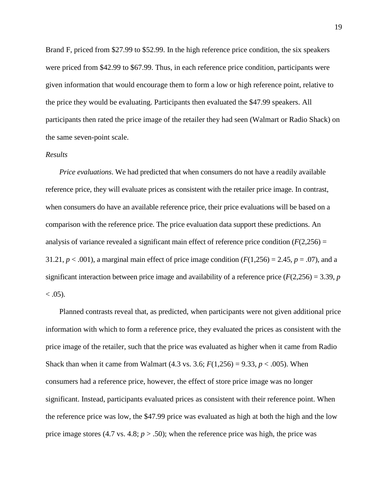Brand F, priced from \$27.99 to \$52.99. In the high reference price condition, the six speakers were priced from \$42.99 to \$67.99. Thus, in each reference price condition, participants were given information that would encourage them to form a low or high reference point, relative to the price they would be evaluating. Participants then evaluated the \$47.99 speakers. All participants then rated the price image of the retailer they had seen (Walmart or Radio Shack) on the same seven-point scale.

#### *Results*

*Price evaluations*. We had predicted that when consumers do not have a readily available reference price, they will evaluate prices as consistent with the retailer price image. In contrast, when consumers do have an available reference price, their price evaluations will be based on a comparison with the reference price. The price evaluation data support these predictions. An analysis of variance revealed a significant main effect of reference price condition  $(F(2,256) =$ 31.21,  $p < .001$ ), a marginal main effect of price image condition  $(F(1,256) = 2.45, p = .07)$ , and a significant interaction between price image and availability of a reference price  $(F(2,256) = 3.39, p$  $< .05$ ).

Planned contrasts reveal that, as predicted, when participants were not given additional price information with which to form a reference price, they evaluated the prices as consistent with the price image of the retailer, such that the price was evaluated as higher when it came from Radio Shack than when it came from Walmart  $(4.3 \text{ vs. } 3.6; F(1,256) = 9.33, p < .005)$ . When consumers had a reference price, however, the effect of store price image was no longer significant. Instead, participants evaluated prices as consistent with their reference point. When the reference price was low, the \$47.99 price was evaluated as high at both the high and the low price image stores  $(4.7 \text{ vs. } 4.8; p > .50)$ ; when the reference price was high, the price was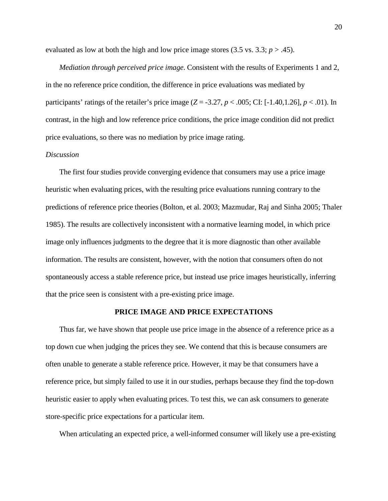evaluated as low at both the high and low price image stores  $(3.5 \text{ vs. } 3.3; p > .45)$ .

*Mediation through perceived price image*. Consistent with the results of Experiments 1 and 2, in the no reference price condition, the difference in price evaluations was mediated by participants' ratings of the retailer's price image  $(Z = -3.27, p < .005$ ; CI:  $[-1.40, 1.26], p < .01$ ). In contrast, in the high and low reference price conditions, the price image condition did not predict price evaluations, so there was no mediation by price image rating.

## *Discussion*

The first four studies provide converging evidence that consumers may use a price image heuristic when evaluating prices, with the resulting price evaluations running contrary to the predictions of reference price theories [\(Bolton, et al. 2003;](#page-43-3) Mazmudar, Raj and Sinha 2005; [Thaler](#page-46-4)  1985). The results are collectively inconsistent with a normative learning model, in which price image only influences judgments to the degree that it is more diagnostic than other available information. The results are consistent, however, with the notion that consumers often do not spontaneously access a stable reference price, but instead use price images heuristically, inferring that the price seen is consistent with a pre-existing price image.

#### **PRICE IMAGE AND PRICE EXPECTATIONS**

Thus far, we have shown that people use price image in the absence of a reference price as a top down cue when judging the prices they see. We contend that this is because consumers are often unable to generate a stable reference price. However, it may be that consumers have a reference price, but simply failed to use it in our studies, perhaps because they find the top-down heuristic easier to apply when evaluating prices. To test this, we can ask consumers to generate store-specific price expectations for a particular item.

When articulating an expected price, a well-informed consumer will likely use a pre-existing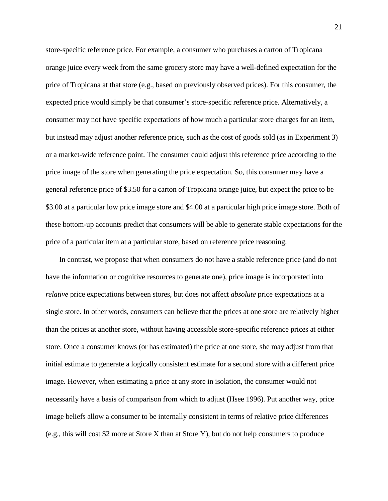store-specific reference price. For example, a consumer who purchases a carton of Tropicana orange juice every week from the same grocery store may have a well-defined expectation for the price of Tropicana at that store (e.g., based on previously observed prices). For this consumer, the expected price would simply be that consumer's store-specific reference price. Alternatively, a consumer may not have specific expectations of how much a particular store charges for an item, but instead may adjust another reference price, such as the cost of goods sold (as in Experiment 3) or a market-wide reference point. The consumer could adjust this reference price according to the price image of the store when generating the price expectation. So, this consumer may have a general reference price of \$3.50 for a carton of Tropicana orange juice, but expect the price to be \$3.00 at a particular low price image store and \$4.00 at a particular high price image store. Both of these bottom-up accounts predict that consumers will be able to generate stable expectations for the price of a particular item at a particular store, based on reference price reasoning.

In contrast, we propose that when consumers do not have a stable reference price (and do not have the information or cognitive resources to generate one), price image is incorporated into *relative* price expectations between stores, but does not affect *absolute* price expectations at a single store. In other words, consumers can believe that the prices at one store are relatively higher than the prices at another store, without having accessible store-specific reference prices at either store. Once a consumer knows (or has estimated) the price at one store, she may adjust from that initial estimate to generate a logically consistent estimate for a second store with a different price image. However, when estimating a price at any store in isolation, the consumer would not necessarily have a basis of comparison from which to adjust (Hsee 1996). Put another way, price image beliefs allow a consumer to be internally consistent in terms of relative price differences (e.g., this will cost \$2 more at Store X than at Store Y), but do not help consumers to produce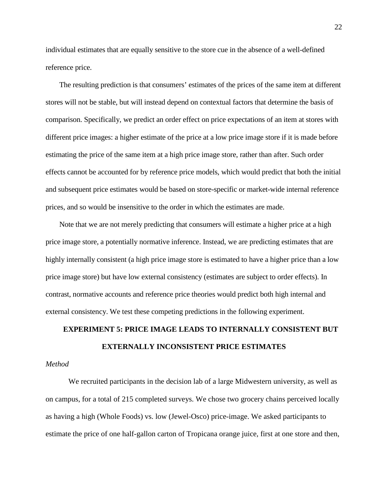individual estimates that are equally sensitive to the store cue in the absence of a well-defined reference price.

The resulting prediction is that consumers' estimates of the prices of the same item at different stores will not be stable, but will instead depend on contextual factors that determine the basis of comparison. Specifically, we predict an order effect on price expectations of an item at stores with different price images: a higher estimate of the price at a low price image store if it is made before estimating the price of the same item at a high price image store, rather than after. Such order effects cannot be accounted for by reference price models, which would predict that both the initial and subsequent price estimates would be based on store-specific or market-wide internal reference prices, and so would be insensitive to the order in which the estimates are made.

Note that we are not merely predicting that consumers will estimate a higher price at a high price image store, a potentially normative inference. Instead, we are predicting estimates that are highly internally consistent (a high price image store is estimated to have a higher price than a low price image store) but have low external consistency (estimates are subject to order effects). In contrast, normative accounts and reference price theories would predict both high internal and external consistency. We test these competing predictions in the following experiment.

# **EXPERIMENT 5: PRICE IMAGE LEADS TO INTERNALLY CONSISTENT BUT EXTERNALLY INCONSISTENT PRICE ESTIMATES**

### *Method*

We recruited participants in the decision lab of a large Midwestern university, as well as on campus, for a total of 215 completed surveys. We chose two grocery chains perceived locally as having a high (Whole Foods) vs. low (Jewel-Osco) price-image. We asked participants to estimate the price of one half-gallon carton of Tropicana orange juice, first at one store and then,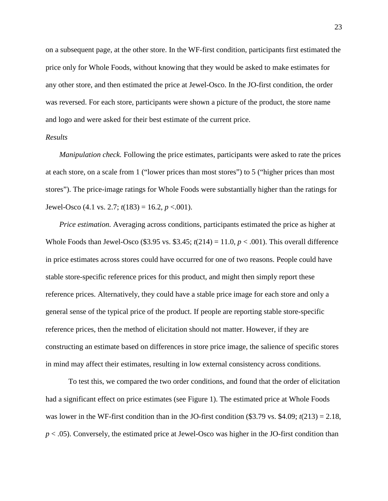on a subsequent page, at the other store. In the WF-first condition, participants first estimated the price only for Whole Foods, without knowing that they would be asked to make estimates for any other store, and then estimated the price at Jewel-Osco. In the JO-first condition, the order was reversed. For each store, participants were shown a picture of the product, the store name and logo and were asked for their best estimate of the current price.

#### *Results*

*Manipulation check.* Following the price estimates, participants were asked to rate the prices at each store, on a scale from 1 ("lower prices than most stores") to 5 ("higher prices than most stores"). The price-image ratings for Whole Foods were substantially higher than the ratings for Jewel-Osco  $(4.1 \text{ vs. } 2.7; t(183) = 16.2, p < .001)$ .

*Price estimation.* Averaging across conditions, participants estimated the price as higher at Whole Foods than Jewel-Osco (\$3.95 vs. \$3.45;  $t(214) = 11.0, p < .001$ ). This overall difference in price estimates across stores could have occurred for one of two reasons. People could have stable store-specific reference prices for this product, and might then simply report these reference prices. Alternatively, they could have a stable price image for each store and only a general sense of the typical price of the product. If people are reporting stable store-specific reference prices, then the method of elicitation should not matter. However, if they are constructing an estimate based on differences in store price image, the salience of specific stores in mind may affect their estimates, resulting in low external consistency across conditions.

To test this, we compared the two order conditions, and found that the order of elicitation had a significant effect on price estimates (see Figure 1). The estimated price at Whole Foods was lower in the WF-first condition than in the JO-first condition (\$3.79 vs. \$4.09; *t*(213) = 2.18, *p* < .05). Conversely, the estimated price at Jewel-Osco was higher in the JO-first condition than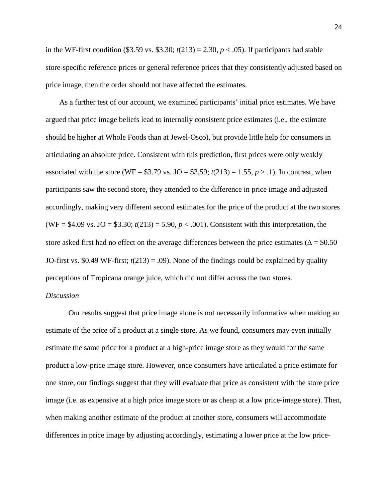in the WF-first condition (\$3.59 vs. \$3.30;  $t(213) = 2.30$ ,  $p < .05$ ). If participants had stable store-specific reference prices or general reference prices that they consistently adjusted based on price image, then the order should not have affected the estimates.

As a further test of our account, we examined participants' initial price estimates. We have argued that price image beliefs lead to internally consistent price estimates (i.e., the estimate should be higher at Whole Foods than at Jewel-Osco), but provide little help for consumers in articulating an absolute price. Consistent with this prediction, first prices were only weakly associated with the store (WF =  $$3.79$  vs. JO =  $$3.59$ ;  $t(213) = 1.55$ ,  $p > .1$ ). In contrast, when participants saw the second store, they attended to the difference in price image and adjusted accordingly, making very different second estimates for the price of the product at the two stores (WF =  $$4.09$  vs. JO =  $$3.30$ ;  $t(213) = 5.90$ ,  $p < .001$ ). Consistent with this interpretation, the store asked first had no effect on the average differences between the price estimates ( $\Delta = $0.50$ ) JO-first vs.  $0.49$  WF-first;  $t(213) = .09$ ). None of the findings could be explained by quality perceptions of Tropicana orange juice, which did not differ across the two stores.

## *Discussion*

Our results suggest that price image alone is not necessarily informative when making an estimate of the price of a product at a single store. As we found, consumers may even initially estimate the same price for a product at a high-price image store as they would for the same product a low-price image store. However, once consumers have articulated a price estimate for one store, our findings suggest that they will evaluate that price as consistent with the store price image (i.e. as expensive at a high price image store or as cheap at a low price-image store). Then, when making another estimate of the product at another store, consumers will accommodate differences in price image by adjusting accordingly, estimating a lower price at the low price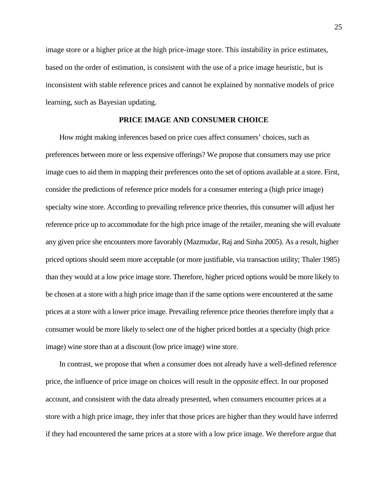image store or a higher price at the high price-image store. This instability in price estimates, based on the order of estimation, is consistent with the use of a price image heuristic, but is inconsistent with stable reference prices and cannot be explained by normative models of price learning, such as Bayesian updating.

## **PRICE IMAGE AND CONSUMER CHOICE**

How might making inferences based on price cues affect consumers' choices, such as preferences between more or less expensive offerings? We propose that consumers may use price image cues to aid them in mapping their preferences onto the set of options available at a store. First, consider the predictions of reference price models for a consumer entering a (high price image) specialty wine store. According to prevailing reference price theories, this consumer will adjust her reference price up to accommodate for the high price image of the retailer, meaning she will evaluate any given price she encounters more favorably (Mazmudar, Raj and Sinha 2005). As a result, higher priced options should seem more acceptable (or more justifiable, via transaction utility; Thaler 1985) than they would at a low price image store. Therefore, higher priced options would be more likely to be chosen at a store with a high price image than if the same options were encountered at the same prices at a store with a lower price image. Prevailing reference price theories therefore imply that a consumer would be more likely to select one of the higher priced bottles at a specialty (high price image) wine store than at a discount (low price image) wine store.

In contrast, we propose that when a consumer does not already have a well-defined reference price, the influence of price image on choices will result in the *opposite* effect. In our proposed account, and consistent with the data already presented, when consumers encounter prices at a store with a high price image, they infer that those prices are higher than they would have inferred if they had encountered the same prices at a store with a low price image. We therefore argue that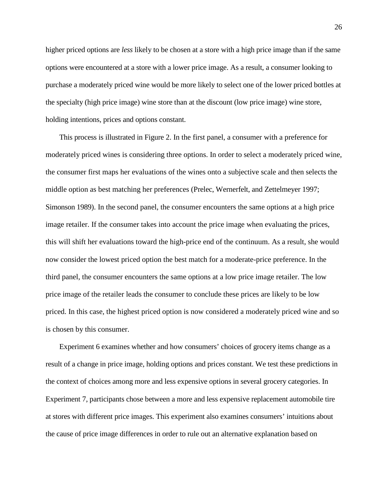higher priced options are *less* likely to be chosen at a store with a high price image than if the same options were encountered at a store with a lower price image. As a result, a consumer looking to purchase a moderately priced wine would be more likely to select one of the lower priced bottles at the specialty (high price image) wine store than at the discount (low price image) wine store, holding intentions, prices and options constant.

This process is illustrated in Figure 2. In the first panel, a consumer with a preference for moderately priced wines is considering three options. In order to select a moderately priced wine, the consumer first maps her evaluations of the wines onto a subjective scale and then selects the middle option as best matching her preferences (Prelec, Wernerfelt, and Zettelmeyer [1997;](#page-45-6) Simonson 1989). In the second panel, the consumer encounters the same options at a high price image retailer. If the consumer takes into account the price image when evaluating the prices, this will shift her evaluations toward the high-price end of the continuum. As a result, she would now consider the lowest priced option the best match for a moderate-price preference. In the third panel, the consumer encounters the same options at a low price image retailer. The low price image of the retailer leads the consumer to conclude these prices are likely to be low priced. In this case, the highest priced option is now considered a moderately priced wine and so is chosen by this consumer.

Experiment 6 examines whether and how consumers' choices of grocery items change as a result of a change in price image, holding options and prices constant. We test these predictions in the context of choices among more and less expensive options in several grocery categories. In Experiment 7, participants chose between a more and less expensive replacement automobile tire at stores with different price images. This experiment also examines consumers' intuitions about the cause of price image differences in order to rule out an alternative explanation based on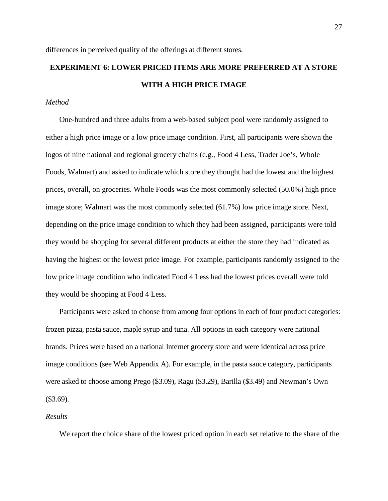differences in perceived quality of the offerings at different stores.

## **EXPERIMENT 6: LOWER PRICED ITEMS ARE MORE PREFERRED AT A STORE WITH A HIGH PRICE IMAGE**

### *Method*

One-hundred and three adults from a web-based subject pool were randomly assigned to either a high price image or a low price image condition. First, all participants were shown the logos of nine national and regional grocery chains (e.g., Food 4 Less, Trader Joe's, Whole Foods, Walmart) and asked to indicate which store they thought had the lowest and the highest prices, overall, on groceries. Whole Foods was the most commonly selected (50.0%) high price image store; Walmart was the most commonly selected (61.7%) low price image store. Next, depending on the price image condition to which they had been assigned, participants were told they would be shopping for several different products at either the store they had indicated as having the highest or the lowest price image. For example, participants randomly assigned to the low price image condition who indicated Food 4 Less had the lowest prices overall were told they would be shopping at Food 4 Less.

Participants were asked to choose from among four options in each of four product categories: frozen pizza, pasta sauce, maple syrup and tuna. All options in each category were national brands. Prices were based on a national Internet grocery store and were identical across price image conditions (see Web Appendix A). For example, in the pasta sauce category, participants were asked to choose among Prego (\$3.09), Ragu (\$3.29), Barilla (\$3.49) and Newman's Own (\$3.69).

#### *Results*

We report the choice share of the lowest priced option in each set relative to the share of the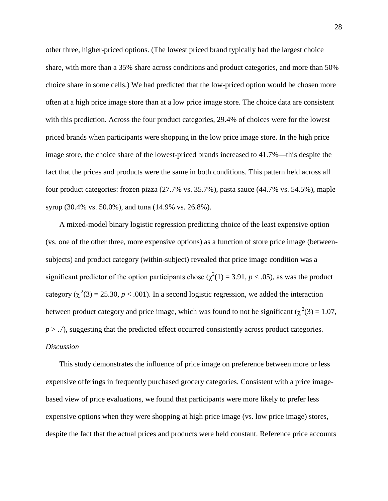other three, higher-priced options. (The lowest priced brand typically had the largest choice share, with more than a 35% share across conditions and product categories, and more than 50% choice share in some cells.) We had predicted that the low-priced option would be chosen more often at a high price image store than at a low price image store. The choice data are consistent with this prediction. Across the four product categories, 29.4% of choices were for the lowest priced brands when participants were shopping in the low price image store. In the high price image store, the choice share of the lowest-priced brands increased to 41.7%—this despite the fact that the prices and products were the same in both conditions. This pattern held across all four product categories: frozen pizza (27.7% vs. 35.7%), pasta sauce (44.7% vs. 54.5%), maple syrup (30.4% vs. 50.0%), and tuna (14.9% vs. 26.8%).

A mixed-model binary logistic regression predicting choice of the least expensive option (vs. one of the other three, more expensive options) as a function of store price image (betweensubjects) and product category (within-subject) revealed that price image condition was a significant predictor of the option participants chose  $(\chi^2(1) = 3.91, p < .05)$ , as was the product category  $(\chi^2(3) = 25.30, p < .001)$ . In a second logistic regression, we added the interaction between product category and price image, which was found to not be significant ( $\chi^2(3) = 1.07$ , *p* > .7), suggesting that the predicted effect occurred consistently across product categories. *Discussion*

This study demonstrates the influence of price image on preference between more or less expensive offerings in frequently purchased grocery categories. Consistent with a price imagebased view of price evaluations, we found that participants were more likely to prefer less expensive options when they were shopping at high price image (vs. low price image) stores, despite the fact that the actual prices and products were held constant. Reference price accounts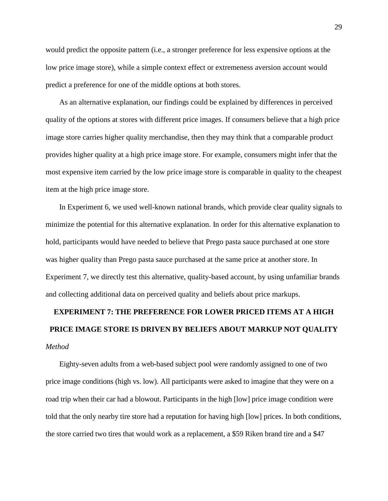would predict the opposite pattern (i.e., a stronger preference for less expensive options at the low price image store), while a simple context effect or extremeness aversion account would predict a preference for one of the middle options at both stores.

As an alternative explanation, our findings could be explained by differences in perceived quality of the options at stores with different price images. If consumers believe that a high price image store carries higher quality merchandise, then they may think that a comparable product provides higher quality at a high price image store. For example, consumers might infer that the most expensive item carried by the low price image store is comparable in quality to the cheapest item at the high price image store.

In Experiment 6, we used well-known national brands, which provide clear quality signals to minimize the potential for this alternative explanation. In order for this alternative explanation to hold, participants would have needed to believe that Prego pasta sauce purchased at one store was higher quality than Prego pasta sauce purchased at the same price at another store. In Experiment 7, we directly test this alternative, quality-based account, by using unfamiliar brands and collecting additional data on perceived quality and beliefs about price markups.

# **EXPERIMENT 7: THE PREFERENCE FOR LOWER PRICED ITEMS AT A HIGH PRICE IMAGE STORE IS DRIVEN BY BELIEFS ABOUT MARKUP NOT QUALITY** *Method*

Eighty-seven adults from a web-based subject pool were randomly assigned to one of two price image conditions (high vs. low). All participants were asked to imagine that they were on a road trip when their car had a blowout. Participants in the high [low] price image condition were told that the only nearby tire store had a reputation for having high [low] prices. In both conditions, the store carried two tires that would work as a replacement, a \$59 Riken brand tire and a \$47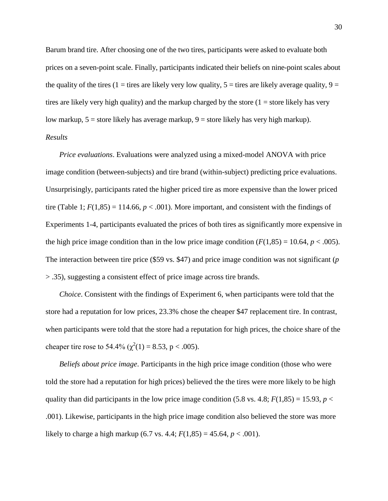Barum brand tire. After choosing one of the two tires, participants were asked to evaluate both prices on a seven-point scale. Finally, participants indicated their beliefs on nine-point scales about the quality of the tires (1 = tires are likely very low quality,  $5 =$  tires are likely average quality,  $9 =$ tires are likely very high quality) and the markup charged by the store  $(1 = store$  likely has very low markup,  $5 =$  store likely has average markup,  $9 =$  store likely has very high markup). *Results*

*Price evaluations*. Evaluations were analyzed using a mixed-model ANOVA with price image condition (between-subjects) and tire brand (within-subject) predicting price evaluations. Unsurprisingly, participants rated the higher priced tire as more expensive than the lower priced tire (Table 1;  $F(1,85) = 114.66$ ,  $p < .001$ ). More important, and consistent with the findings of Experiments 1-4, participants evaluated the prices of both tires as significantly more expensive in the high price image condition than in the low price image condition  $(F(1,85) = 10.64, p < .005)$ . The interaction between tire price (\$59 vs. \$47) and price image condition was not significant (*p* > .35), suggesting a consistent effect of price image across tire brands.

*Choice*. Consistent with the findings of Experiment 6, when participants were told that the store had a reputation for low prices, 23.3% chose the cheaper \$47 replacement tire. In contrast, when participants were told that the store had a reputation for high prices, the choice share of the cheaper tire rose to 54.4% ( $\chi^2(1) = 8.53$ , p < .005).

*Beliefs about price image*. Participants in the high price image condition (those who were told the store had a reputation for high prices) believed the the tires were more likely to be high quality than did participants in the low price image condition  $(5.8 \text{ vs. } 4.8; F(1,85) = 15.93, p <$ .001). Likewise, participants in the high price image condition also believed the store was more likely to charge a high markup (6.7 vs. 4.4;  $F(1,85) = 45.64$ ,  $p < .001$ ).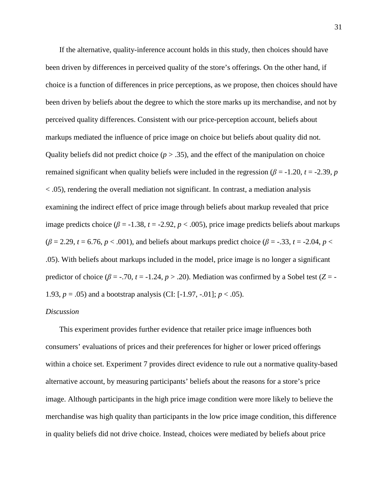If the alternative, quality-inference account holds in this study, then choices should have been driven by differences in perceived quality of the store's offerings. On the other hand, if choice is a function of differences in price perceptions, as we propose, then choices should have been driven by beliefs about the degree to which the store marks up its merchandise, and not by perceived quality differences. Consistent with our price-perception account, beliefs about markups mediated the influence of price image on choice but beliefs about quality did not. Quality beliefs did not predict choice  $(p > .35)$ , and the effect of the manipulation on choice remained significant when quality beliefs were included in the regression ( $\beta$  = -1.20, *t* = -2.39, *p* < .05), rendering the overall mediation not significant. In contrast, a mediation analysis examining the indirect effect of price image through beliefs about markup revealed that price image predicts choice ( $\beta$  = -1.38, *t* = -2.92, *p* < .005), price image predicts beliefs about markups  $(\beta = 2.29, t = 6.76, p < .001)$ , and beliefs about markups predict choice ( $\beta = -.33, t = -2.04, p <$ .05). With beliefs about markups included in the model, price image is no longer a significant predictor of choice ( $\beta = -0.70$ ,  $t = -1.24$ ,  $p > 0.20$ ). Mediation was confirmed by a Sobel test ( $Z = -1.24$ 1.93, *p* = .05) and a bootstrap analysis (CI: [-1.97, -.01]; *p* < .05).

### *Discussion*

This experiment provides further evidence that retailer price image influences both consumers' evaluations of prices and their preferences for higher or lower priced offerings within a choice set. Experiment 7 provides direct evidence to rule out a normative quality-based alternative account, by measuring participants' beliefs about the reasons for a store's price image. Although participants in the high price image condition were more likely to believe the merchandise was high quality than participants in the low price image condition, this difference in quality beliefs did not drive choice. Instead, choices were mediated by beliefs about price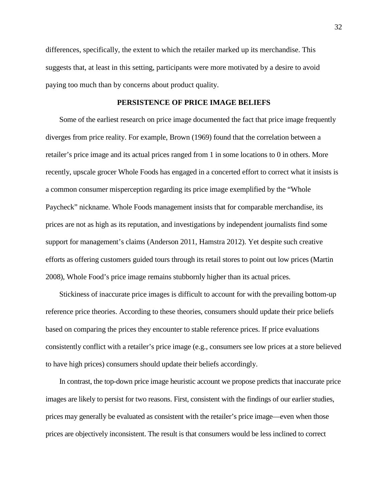differences, specifically, the extent to which the retailer marked up its merchandise. This suggests that, at least in this setting, participants were more motivated by a desire to avoid paying too much than by concerns about product quality.

#### **PERSISTENCE OF PRICE IMAGE BELIEFS**

Some of the earliest research on price image documented the fact that price image frequently diverges from price reality. For example, Brown (1969) found that the correlation between a retailer's price image and its actual prices ranged from 1 in some locations to 0 in others. More recently, upscale grocer Whole Foods has engaged in a concerted effort to correct what it insists is a common consumer misperception regarding its price image exemplified by the "Whole Paycheck" nickname. Whole Foods management insists that for comparable merchandise, its prices are not as high as its reputation, and investigations by independent journalists find some support for management's claims [\(Anderson 2011,](#page-43-8) Hamstra 2012). Yet despite such creative efforts as offering customers guided tours through its retail stores to point out low prices [\(Martin](#page-45-7)  2008), Whole Food's price image remains stubbornly higher than its actual prices.

Stickiness of inaccurate price images is difficult to account for with the prevailing bottom-up reference price theories. According to these theories, consumers should update their price beliefs based on comparing the prices they encounter to stable reference prices. If price evaluations consistently conflict with a retailer's price image (e.g., consumers see low prices at a store believed to have high prices) consumers should update their beliefs accordingly.

In contrast, the top-down price image heuristic account we propose predicts that inaccurate price images are likely to persist for two reasons. First, consistent with the findings of our earlier studies, prices may generally be evaluated as consistent with the retailer's price image—even when those prices are objectively inconsistent. The result is that consumers would be less inclined to correct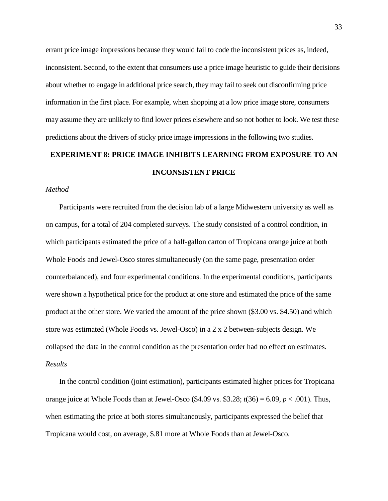errant price image impressions because they would fail to code the inconsistent prices as, indeed, inconsistent. Second, to the extent that consumers use a price image heuristic to guide their decisions about whether to engage in additional price search, they may fail to seek out disconfirming price information in the first place. For example, when shopping at a low price image store, consumers may assume they are unlikely to find lower prices elsewhere and so not bother to look. We test these predictions about the drivers of sticky price image impressions in the following two studies.

## **EXPERIMENT 8: PRICE IMAGE INHIBITS LEARNING FROM EXPOSURE TO AN INCONSISTENT PRICE**

#### *Method*

Participants were recruited from the decision lab of a large Midwestern university as well as on campus, for a total of 204 completed surveys. The study consisted of a control condition, in which participants estimated the price of a half-gallon carton of Tropicana orange juice at both Whole Foods and Jewel-Osco stores simultaneously (on the same page, presentation order counterbalanced), and four experimental conditions. In the experimental conditions, participants were shown a hypothetical price for the product at one store and estimated the price of the same product at the other store. We varied the amount of the price shown (\$3.00 vs. \$4.50) and which store was estimated (Whole Foods vs. Jewel-Osco) in a 2 x 2 between-subjects design. We collapsed the data in the control condition as the presentation order had no effect on estimates. *Results*

In the control condition (joint estimation), participants estimated higher prices for Tropicana orange juice at Whole Foods than at Jewel-Osco  $(\$4.09 \text{ vs. } \$3.28; t(36) = 6.09, p < .001)$ . Thus, when estimating the price at both stores simultaneously, participants expressed the belief that Tropicana would cost, on average, \$.81 more at Whole Foods than at Jewel-Osco.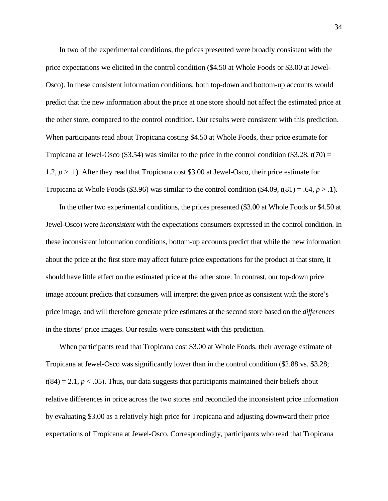In two of the experimental conditions, the prices presented were broadly consistent with the price expectations we elicited in the control condition (\$4.50 at Whole Foods or \$3.00 at Jewel-Osco). In these consistent information conditions, both top-down and bottom-up accounts would predict that the new information about the price at one store should not affect the estimated price at the other store, compared to the control condition. Our results were consistent with this prediction. When participants read about Tropicana costing \$4.50 at Whole Foods, their price estimate for Tropicana at Jewel-Osco (\$3.54) was similar to the price in the control condition (\$3.28,  $t(70) =$ 1.2, *p* > .1). After they read that Tropicana cost \$3.00 at Jewel-Osco, their price estimate for Tropicana at Whole Foods (\$3.96) was similar to the control condition  $(\$4.09, t(81) = .64, p > .1)$ .

In the other two experimental conditions, the prices presented (\$3.00 at Whole Foods or \$4.50 at Jewel-Osco) were *inconsistent* with the expectations consumers expressed in the control condition. In these inconsistent information conditions, bottom-up accounts predict that while the new information about the price at the first store may affect future price expectations for the product at that store, it should have little effect on the estimated price at the other store. In contrast, our top-down price image account predicts that consumers will interpret the given price as consistent with the store's price image, and will therefore generate price estimates at the second store based on the *differences* in the stores' price images. Our results were consistent with this prediction.

When participants read that Tropicana cost \$3.00 at Whole Foods, their average estimate of Tropicana at Jewel-Osco was significantly lower than in the control condition (\$2.88 vs. \$3.28;  $t(84) = 2.1, p < .05$ ). Thus, our data suggests that participants maintained their beliefs about relative differences in price across the two stores and reconciled the inconsistent price information by evaluating \$3.00 as a relatively high price for Tropicana and adjusting downward their price expectations of Tropicana at Jewel-Osco. Correspondingly, participants who read that Tropicana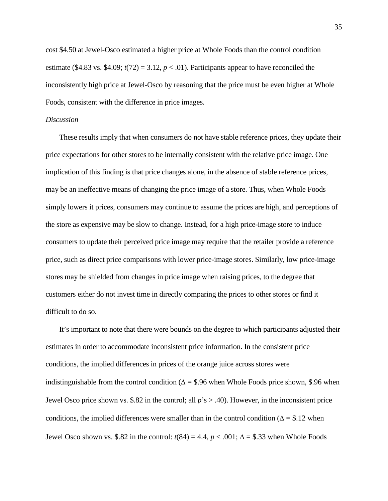cost \$4.50 at Jewel-Osco estimated a higher price at Whole Foods than the control condition estimate (\$4.83 vs. \$4.09;  $t(72) = 3.12$ ,  $p < .01$ ). Participants appear to have reconciled the inconsistently high price at Jewel-Osco by reasoning that the price must be even higher at Whole Foods, consistent with the difference in price images.

#### *Discussion*

These results imply that when consumers do not have stable reference prices, they update their price expectations for other stores to be internally consistent with the relative price image. One implication of this finding is that price changes alone, in the absence of stable reference prices, may be an ineffective means of changing the price image of a store. Thus, when Whole Foods simply lowers it prices, consumers may continue to assume the prices are high, and perceptions of the store as expensive may be slow to change. Instead, for a high price-image store to induce consumers to update their perceived price image may require that the retailer provide a reference price, such as direct price comparisons with lower price-image stores. Similarly, low price-image stores may be shielded from changes in price image when raising prices, to the degree that customers either do not invest time in directly comparing the prices to other stores or find it difficult to do so.

It's important to note that there were bounds on the degree to which participants adjusted their estimates in order to accommodate inconsistent price information. In the consistent price conditions, the implied differences in prices of the orange juice across stores were indistinguishable from the control condition ( $\Delta =$  \$.96 when Whole Foods price shown, \$.96 when Jewel Osco price shown vs. \$.82 in the control; all *p*'s > .40). However, in the inconsistent price conditions, the implied differences were smaller than in the control condition ( $\Delta =$  \$.12 when Jewel Osco shown vs. \$.82 in the control:  $t(84) = 4.4$ ,  $p < .001$ ;  $\Delta =$  \$.33 when Whole Foods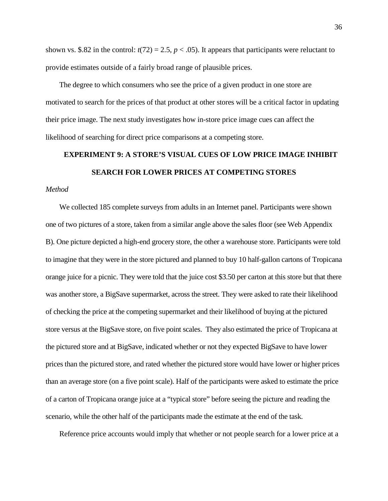shown vs. \$.82 in the control:  $t(72) = 2.5$ ,  $p < .05$ ). It appears that participants were reluctant to provide estimates outside of a fairly broad range of plausible prices.

The degree to which consumers who see the price of a given product in one store are motivated to search for the prices of that product at other stores will be a critical factor in updating their price image. The next study investigates how in-store price image cues can affect the likelihood of searching for direct price comparisons at a competing store.

# **EXPERIMENT 9: A STORE'S VISUAL CUES OF LOW PRICE IMAGE INHIBIT SEARCH FOR LOWER PRICES AT COMPETING STORES**

### *Method*

We collected 185 complete surveys from adults in an Internet panel. Participants were shown one of two pictures of a store, taken from a similar angle above the sales floor (see Web Appendix B). One picture depicted a high-end grocery store, the other a warehouse store. Participants were told to imagine that they were in the store pictured and planned to buy 10 half-gallon cartons of Tropicana orange juice for a picnic. They were told that the juice cost \$3.50 per carton at this store but that there was another store, a BigSave supermarket, across the street. They were asked to rate their likelihood of checking the price at the competing supermarket and their likelihood of buying at the pictured store versus at the BigSave store, on five point scales. They also estimated the price of Tropicana at the pictured store and at BigSave, indicated whether or not they expected BigSave to have lower prices than the pictured store, and rated whether the pictured store would have lower or higher prices than an average store (on a five point scale). Half of the participants were asked to estimate the price of a carton of Tropicana orange juice at a "typical store" before seeing the picture and reading the scenario, while the other half of the participants made the estimate at the end of the task.

Reference price accounts would imply that whether or not people search for a lower price at a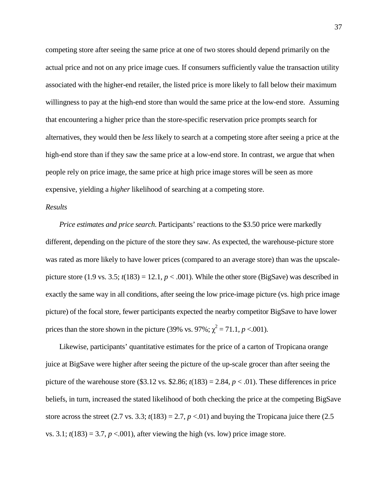competing store after seeing the same price at one of two stores should depend primarily on the actual price and not on any price image cues. If consumers sufficiently value the transaction utility associated with the higher-end retailer, the listed price is more likely to fall below their maximum willingness to pay at the high-end store than would the same price at the low-end store. Assuming that encountering a higher price than the store-specific reservation price prompts search for alternatives, they would then be *less* likely to search at a competing store after seeing a price at the high-end store than if they saw the same price at a low-end store. In contrast, we argue that when people rely on price image, the same price at high price image stores will be seen as more expensive, yielding a *higher* likelihood of searching at a competing store.

#### *Results*

*Price estimates and price search*. Participants' reactions to the \$3.50 price were markedly different, depending on the picture of the store they saw. As expected, the warehouse-picture store was rated as more likely to have lower prices (compared to an average store) than was the upscalepicture store (1.9 vs. 3.5;  $t(183) = 12.1$ ,  $p < .001$ ). While the other store (BigSave) was described in exactly the same way in all conditions, after seeing the low price-image picture (vs. high price image picture) of the focal store, fewer participants expected the nearby competitor BigSave to have lower prices than the store shown in the picture (39% vs. 97%;  $\chi^2 = 71.1$ ,  $p < .001$ ).

Likewise, participants' quantitative estimates for the price of a carton of Tropicana orange juice at BigSave were higher after seeing the picture of the up-scale grocer than after seeing the picture of the warehouse store (\$3.12 vs. \$2.86;  $t(183) = 2.84$ ,  $p < .01$ ). These differences in price beliefs, in turn, increased the stated likelihood of both checking the price at the competing BigSave store across the street (2.7 vs. 3.3;  $t(183) = 2.7$ ,  $p < .01$ ) and buying the Tropicana juice there (2.5) vs. 3.1;  $t(183) = 3.7$ ,  $p < 0.001$ ), after viewing the high (vs. low) price image store.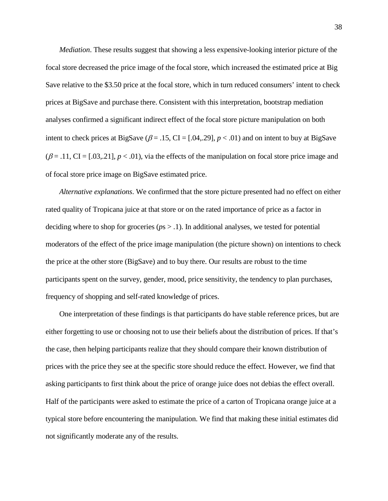*Mediation*. These results suggest that showing a less expensive-looking interior picture of the focal store decreased the price image of the focal store, which increased the estimated price at Big Save relative to the \$3.50 price at the focal store, which in turn reduced consumers' intent to check prices at BigSave and purchase there. Consistent with this interpretation, bootstrap mediation analyses confirmed a significant indirect effect of the focal store picture manipulation on both intent to check prices at BigSave ( $\beta$  = .15, CI = [.04,.29],  $p$  < .01) and on intent to buy at BigSave  $(\beta = .11, \text{CI} = [.03, .21], p < .01)$ , via the effects of the manipulation on focal store price image and of focal store price image on BigSave estimated price.

*Alternative explanations*. We confirmed that the store picture presented had no effect on either rated quality of Tropicana juice at that store or on the rated importance of price as a factor in deciding where to shop for groceries (*p*s > .1). In additional analyses, we tested for potential moderators of the effect of the price image manipulation (the picture shown) on intentions to check the price at the other store (BigSave) and to buy there. Our results are robust to the time participants spent on the survey, gender, mood, price sensitivity, the tendency to plan purchases, frequency of shopping and self-rated knowledge of prices.

One interpretation of these findings is that participants do have stable reference prices, but are either forgetting to use or choosing not to use their beliefs about the distribution of prices. If that's the case, then helping participants realize that they should compare their known distribution of prices with the price they see at the specific store should reduce the effect. However, we find that asking participants to first think about the price of orange juice does not debias the effect overall. Half of the participants were asked to estimate the price of a carton of Tropicana orange juice at a typical store before encountering the manipulation. We find that making these initial estimates did not significantly moderate any of the results.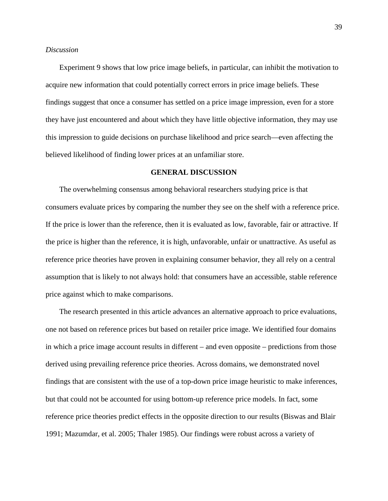#### *Discussion*

Experiment 9 shows that low price image beliefs, in particular, can inhibit the motivation to acquire new information that could potentially correct errors in price image beliefs. These findings suggest that once a consumer has settled on a price image impression, even for a store they have just encountered and about which they have little objective information, they may use this impression to guide decisions on purchase likelihood and price search—even affecting the believed likelihood of finding lower prices at an unfamiliar store.

#### **GENERAL DISCUSSION**

The overwhelming consensus among behavioral researchers studying price is that consumers evaluate prices by comparing the number they see on the shelf with a reference price. If the price is lower than the reference, then it is evaluated as low, favorable, fair or attractive. If the price is higher than the reference, it is high, unfavorable, unfair or unattractive. As useful as reference price theories have proven in explaining consumer behavior, they all rely on a central assumption that is likely to not always hold: that consumers have an accessible, stable reference price against which to make comparisons.

The research presented in this article advances an alternative approach to price evaluations, one not based on reference prices but based on retailer price image. We identified four domains in which a price image account results in different – and even opposite – predictions from those derived using prevailing reference price theories. Across domains, we demonstrated novel findings that are consistent with the use of a top-down price image heuristic to make inferences, but that could not be accounted for using bottom-up reference price models. In fact, some reference price theories predict effects in the opposite direction to our results [\(Biswas and Blair](#page-43-6)  1991; [Mazumdar, et al. 2005;](#page-45-0) Thaler 1985). Our findings were robust across a variety of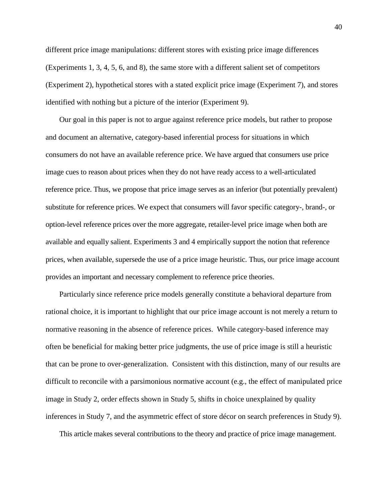different price image manipulations: different stores with existing price image differences (Experiments 1, 3, 4, 5, 6, and 8), the same store with a different salient set of competitors (Experiment 2), hypothetical stores with a stated explicit price image (Experiment 7), and stores identified with nothing but a picture of the interior (Experiment 9).

Our goal in this paper is not to argue against reference price models, but rather to propose and document an alternative, category-based inferential process for situations in which consumers do not have an available reference price. We have argued that consumers use price image cues to reason about prices when they do not have ready access to a well-articulated reference price. Thus, we propose that price image serves as an inferior (but potentially prevalent) substitute for reference prices. We expect that consumers will favor specific category-, brand-, or option-level reference prices over the more aggregate, retailer-level price image when both are available and equally salient. Experiments 3 and 4 empirically support the notion that reference prices, when available, supersede the use of a price image heuristic. Thus, our price image account provides an important and necessary complement to reference price theories.

Particularly since reference price models generally constitute a behavioral departure from rational choice, it is important to highlight that our price image account is not merely a return to normative reasoning in the absence of reference prices. While category-based inference may often be beneficial for making better price judgments, the use of price image is still a heuristic that can be prone to over-generalization. Consistent with this distinction, many of our results are difficult to reconcile with a parsimonious normative account (e.g., the effect of manipulated price image in Study 2, order effects shown in Study 5, shifts in choice unexplained by quality inferences in Study 7, and the asymmetric effect of store décor on search preferences in Study 9).

This article makes several contributions to the theory and practice of price image management.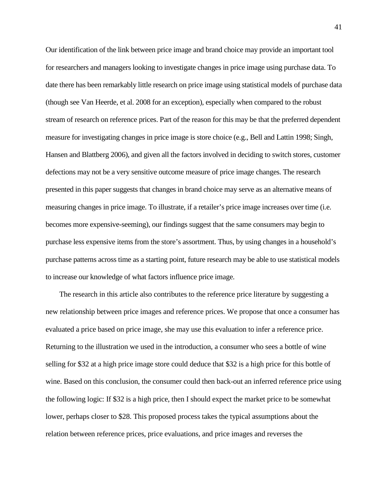Our identification of the link between price image and brand choice may provide an important tool for researchers and managers looking to investigate changes in price image using purchase data. To date there has been remarkably little research on price image using statistical models of purchase data (though see [Van Heerde, et al. 2008](#page-47-2) for an exception), especially when compared to the robust stream of research on reference prices. Part of the reason for this may be that the preferred dependent measure for investigating changes in price image is store choice (e.g., [Bell and Lattin 1998;](#page-43-0) [Singh,](#page-46-5)  Hansen and Blattberg 2006), and given all the factors involved in deciding to switch stores, customer defections may not be a very sensitive outcome measure of price image changes. The research presented in this paper suggests that changes in brand choice may serve as an alternative means of measuring changes in price image. To illustrate, if a retailer's price image increases over time (i.e. becomes more expensive-seeming), our findings suggest that the same consumers may begin to purchase less expensive items from the store's assortment. Thus, by using changes in a household's purchase patterns across time as a starting point, future research may be able to use statistical models to increase our knowledge of what factors influence price image.

The research in this article also contributes to the reference price literature by suggesting a new relationship between price images and reference prices. We propose that once a consumer has evaluated a price based on price image, she may use this evaluation to infer a reference price. Returning to the illustration we used in the introduction, a consumer who sees a bottle of wine selling for \$32 at a high price image store could deduce that \$32 is a high price for this bottle of wine. Based on this conclusion, the consumer could then back-out an inferred reference price using the following logic: If \$32 is a high price, then I should expect the market price to be somewhat lower, perhaps closer to \$28. This proposed process takes the typical assumptions about the relation between reference prices, price evaluations, and price images and reverses the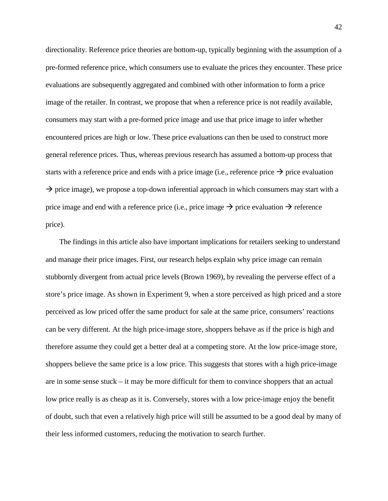directionality. Reference price theories are bottom-up, typically beginning with the assumption of a pre-formed reference price, which consumers use to evaluate the prices they encounter. These price evaluations are subsequently aggregated and combined with other information to form a price image of the retailer. In contrast, we propose that when a reference price is not readily available, consumers may start with a pre-formed price image and use that price image to infer whether encountered prices are high or low. These price evaluations can then be used to construct more general reference prices. Thus, whereas previous research has assumed a bottom-up process that starts with a reference price and ends with a price image (i.e., reference price  $\rightarrow$  price evaluation  $\rightarrow$  price image), we propose a top-down inferential approach in which consumers may start with a price image and end with a reference price (i.e., price image  $\rightarrow$  price evaluation  $\rightarrow$  reference price).

The findings in this article also have important implications for retailers seeking to understand and manage their price images. First, our research helps explain why price image can remain stubbornly divergent from actual price levels (Brown 1969), by revealing the perverse effect of a store's price image. As shown in Experiment 9, when a store perceived as high priced and a store perceived as low priced offer the same product for sale at the same price, consumers' reactions can be very different. At the high price-image store, shoppers behave as if the price is high and therefore assume they could get a better deal at a competing store. At the low price-image store, shoppers believe the same price is a low price. This suggests that stores with a high price-image are in some sense stuck – it may be more difficult for them to convince shoppers that an actual low price really is as cheap as it is. Conversely, stores with a low price-image enjoy the benefit of doubt, such that even a relatively high price will still be assumed to be a good deal by many of their less informed customers, reducing the motivation to search further.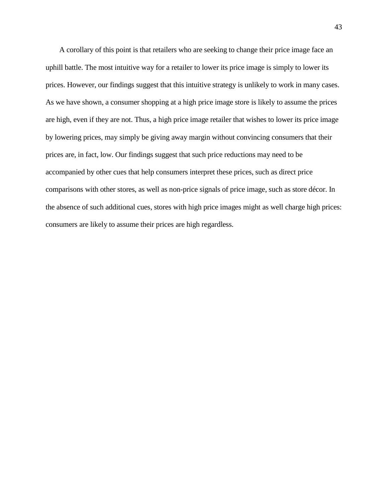A corollary of this point is that retailers who are seeking to change their price image face an uphill battle. The most intuitive way for a retailer to lower its price image is simply to lower its prices. However, our findings suggest that this intuitive strategy is unlikely to work in many cases. As we have shown, a consumer shopping at a high price image store is likely to assume the prices are high, even if they are not. Thus, a high price image retailer that wishes to lower its price image by lowering prices, may simply be giving away margin without convincing consumers that their prices are, in fact, low. Our findings suggest that such price reductions may need to be accompanied by other cues that help consumers interpret these prices, such as direct price comparisons with other stores, as well as non-price signals of price image, such as store décor. In the absence of such additional cues, stores with high price images might as well charge high prices: consumers are likely to assume their prices are high regardless.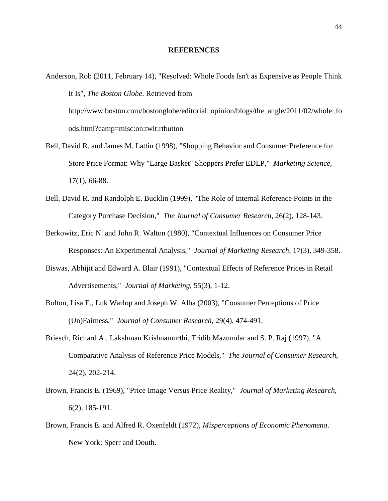#### **REFERENCES**

- <span id="page-43-8"></span>Anderson, Rob (2011, February 14), "Resolved: Whole Foods Isn't as Expensive as People Think It Is", *The Boston Globe*. Retrieved from http://www.boston.com/bostonglobe/editorial\_opinion/blogs/the\_angle/2011/02/whole\_fo ods.html?camp=misc:on:twit:rtbutton
- <span id="page-43-0"></span>Bell, David R. and James M. Lattin (1998), "Shopping Behavior and Consumer Preference for Store Price Format: Why "Large Basket" Shoppers Prefer EDLP," *Marketing Science*, 17(1), 66-88.
- <span id="page-43-1"></span>Bell, David R. and Randolph E. Bucklin (1999), "The Role of Internal Reference Points in the Category Purchase Decision," *The Journal of Consumer Research*, 26(2), 128-143.
- <span id="page-43-7"></span>Berkowitz, Eric N. and John R. Walton (1980), "Contextual Influences on Consumer Price Responses: An Experimental Analysis," *Journal of Marketing Research*, 17(3), 349-358.
- <span id="page-43-6"></span>Biswas, Abhijit and Edward A. Blair (1991), "Contextual Effects of Reference Prices in Retail Advertisements," *Journal of Marketing*, 55(3), 1-12.
- <span id="page-43-3"></span>Bolton, Lisa E., Luk Warlop and Joseph W. Alba (2003), "Consumer Perceptions of Price (Un)Fairness," *Journal of Consumer Research*, 29(4), 474-491.
- <span id="page-43-4"></span>Briesch, Richard A., Lakshman Krishnamurthi, Tridib Mazumdar and S. P. Raj (1997), "A Comparative Analysis of Reference Price Models," *The Journal of Consumer Research*, 24(2), 202-214.
- <span id="page-43-2"></span>Brown, Francis E. (1969), "Price Image Versus Price Reality," *Journal of Marketing Research*, 6(2), 185-191.
- <span id="page-43-5"></span>Brown, Francis E. and Alfred R. Oxenfeldt (1972), *Misperceptions of Economic Phenomena*. New York: Sperr and Douth.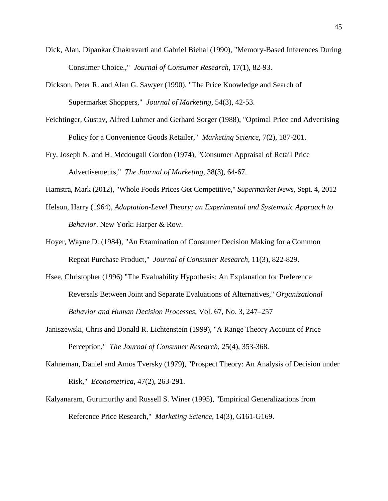- <span id="page-44-6"></span>Dick, Alan, Dipankar Chakravarti and Gabriel Biehal (1990), "Memory-Based Inferences During Consumer Choice.," *Journal of Consumer Research*, 17(1), 82-93.
- <span id="page-44-3"></span>Dickson, Peter R. and Alan G. Sawyer (1990), "The Price Knowledge and Search of Supermarket Shoppers," *Journal of Marketing*, 54(3), 42-53.
- Feichtinger, Gustav, Alfred Luhmer and Gerhard Sorger (1988), "Optimal Price and Advertising Policy for a Convenience Goods Retailer," *Marketing Science*, 7(2), 187-201.
- <span id="page-44-7"></span>Fry, Joseph N. and H. Mcdougall Gordon (1974), "Consumer Appraisal of Retail Price Advertisements," *The Journal of Marketing*, 38(3), 64-67.
- Hamstra, Mark (2012), "Whole Foods Prices Get Competitive," *Supermarket News*, Sept. 4, 2012
- <span id="page-44-0"></span>Helson, Harry (1964), *Adaptation-Level Theory; an Experimental and Systematic Approach to Behavior*. New York: Harper & Row.
- <span id="page-44-2"></span>Hoyer, Wayne D. (1984), "An Examination of Consumer Decision Making for a Common Repeat Purchase Product," *Journal of Consumer Research*, 11(3), 822-829.
- Hsee, Christopher (1996) "The Evaluability Hypothesis: An Explanation for Preference Reversals Between Joint and Separate Evaluations of Alternatives," *Organizational Behavior and Human Decision Processes*, Vol. 67, No. 3, 247–257
- <span id="page-44-5"></span>Janiszewski, Chris and Donald R. Lichtenstein (1999), "A Range Theory Account of Price Perception," *The Journal of Consumer Research*, 25(4), 353-368.
- <span id="page-44-1"></span>Kahneman, Daniel and Amos Tversky (1979), "Prospect Theory: An Analysis of Decision under Risk," *Econometrica*, 47(2), 263-291.
- <span id="page-44-4"></span>Kalyanaram, Gurumurthy and Russell S. Winer (1995), "Empirical Generalizations from Reference Price Research," *Marketing Science*, 14(3), G161-G169.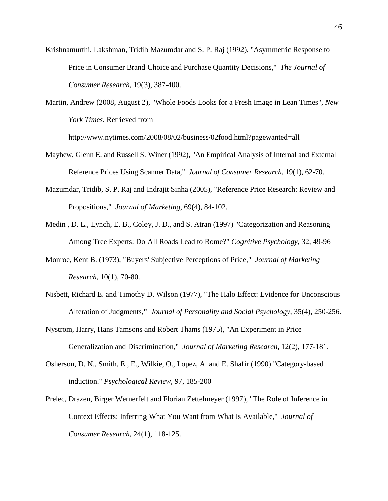<span id="page-45-1"></span>Krishnamurthi, Lakshman, Tridib Mazumdar and S. P. Raj (1992), "Asymmetric Response to Price in Consumer Brand Choice and Purchase Quantity Decisions," *The Journal of Consumer Research*, 19(3), 387-400.

<span id="page-45-7"></span>Martin, Andrew (2008, August 2), "Whole Foods Looks for a Fresh Image in Lean Times", *New York Times*. Retrieved from

http://www.nytimes.com/2008/08/02/business/02food.html?pagewanted=all

- <span id="page-45-4"></span>Mayhew, Glenn E. and Russell S. Winer (1992), "An Empirical Analysis of Internal and External Reference Prices Using Scanner Data," *Journal of Consumer Research*, 19(1), 62-70.
- <span id="page-45-0"></span>Mazumdar, Tridib, S. P. Raj and Indrajit Sinha (2005), "Reference Price Research: Review and Propositions," *Journal of Marketing*, 69(4), 84-102.
- Medin , D. L., Lynch, E. B., Coley, J. D., and S. Atran (1997) "Categorization and Reasoning Among Tree Experts: Do All Roads Lead to Rome?" *Cognitive Psychology*, 32, 49-96
- <span id="page-45-2"></span>Monroe, Kent B. (1973), "Buyers' Subjective Perceptions of Price," *Journal of Marketing Research*, 10(1), 70-80.
- <span id="page-45-5"></span>Nisbett, Richard E. and Timothy D. Wilson (1977), "The Halo Effect: Evidence for Unconscious Alteration of Judgments," *Journal of Personality and Social Psychology*, 35(4), 250-256.
- <span id="page-45-3"></span>Nystrom, Harry, Hans Tamsons and Robert Thams (1975), "An Experiment in Price Generalization and Discrimination," *Journal of Marketing Research*, 12(2), 177-181.
- <span id="page-45-6"></span>Osherson, D. N., Smith, E., E., Wilkie, O., Lopez, A. and E. Shafir (1990) "Category-based induction." *Psychological Review*, 97, 185-200
- Prelec, Drazen, Birger Wernerfelt and Florian Zettelmeyer (1997), "The Role of Inference in Context Effects: Inferring What You Want from What Is Available," *Journal of Consumer Research*, 24(1), 118-125.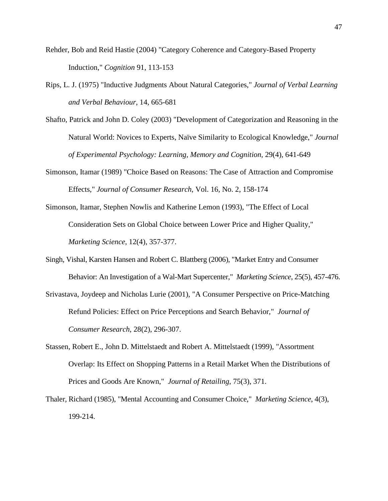- Rehder, Bob and Reid Hastie (2004) "Category Coherence and Category-Based Property Induction," *Cognition* 91, 113-153
- Rips, L. J. (1975) "Inductive Judgments About Natural Categories," *Journal of Verbal Learning and Verbal Behaviour*, 14, 665-681
- Shafto, Patrick and John D. Coley (2003) "Development of Categorization and Reasoning in the Natural World: Novices to Experts, Naïve Similarity to Ecological Knowledge," *Journal of Experimental Psychology: Learning, Memory and Cognition*, 29(4), 641-649
- Simonson, Itamar (1989) "Choice Based on Reasons: The Case of Attraction and Compromise Effects," *Journal of Consumer Research*, Vol. 16, No. 2, 158-174
- <span id="page-46-3"></span>Simonson, Itamar, Stephen Nowlis and Katherine Lemon (1993), "The Effect of Local Consideration Sets on Global Choice between Lower Price and Higher Quality," *Marketing Science*, 12(4), 357-377.
- <span id="page-46-5"></span>Singh, Vishal, Karsten Hansen and Robert C. Blattberg (2006), "Market Entry and Consumer Behavior: An Investigation of a Wal-Mart Supercenter," *Marketing Science*, 25(5), 457-476.
- <span id="page-46-2"></span>Srivastava, Joydeep and Nicholas Lurie (2001), "A Consumer Perspective on Price-Matching Refund Policies: Effect on Price Perceptions and Search Behavior," *Journal of Consumer Research*, 28(2), 296-307.
- <span id="page-46-1"></span>Stassen, Robert E., John D. Mittelstaedt and Robert A. Mittelstaedt (1999), "Assortment Overlap: Its Effect on Shopping Patterns in a Retail Market When the Distributions of Prices and Goods Are Known," *Journal of Retailing*, 75(3), 371.
- <span id="page-46-4"></span><span id="page-46-0"></span>Thaler, Richard (1985), "Mental Accounting and Consumer Choice," *Marketing Science*, 4(3), 199-214.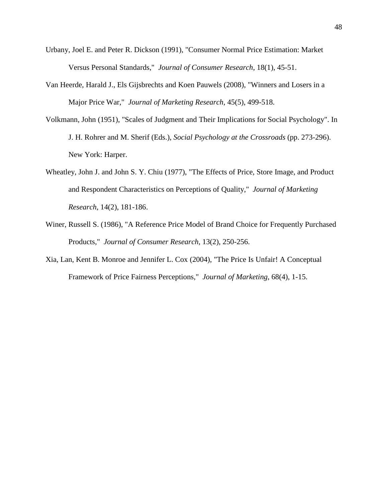- Urbany, Joel E. and Peter R. Dickson (1991), "Consumer Normal Price Estimation: Market Versus Personal Standards," *Journal of Consumer Research*, 18(1), 45-51.
- <span id="page-47-2"></span>Van Heerde, Harald J., Els Gijsbrechts and Koen Pauwels (2008), "Winners and Losers in a Major Price War," *Journal of Marketing Research*, 45(5), 499-518.
- <span id="page-47-1"></span>Volkmann, John (1951), "Scales of Judgment and Their Implications for Social Psychology". In J. H. Rohrer and M. Sherif (Eds.), *Social Psychology at the Crossroads* (pp. 273-296). New York: Harper.
- <span id="page-47-4"></span>Wheatley, John J. and John S. Y. Chiu (1977), "The Effects of Price, Store Image, and Product and Respondent Characteristics on Perceptions of Quality," *Journal of Marketing Research*, 14(2), 181-186.
- <span id="page-47-0"></span>Winer, Russell S. (1986), "A Reference Price Model of Brand Choice for Frequently Purchased Products," *Journal of Consumer Research*, 13(2), 250-256.
- <span id="page-47-3"></span>Xia, Lan, Kent B. Monroe and Jennifer L. Cox (2004), "The Price Is Unfair! A Conceptual Framework of Price Fairness Perceptions," *Journal of Marketing*, 68(4), 1-15.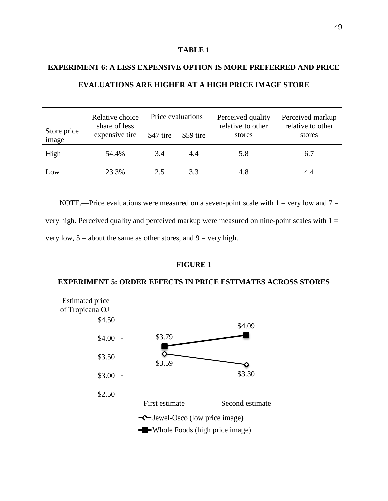## **TABLE 1**

## **EXPERIMENT 6: A LESS EXPENSIVE OPTION IS MORE PREFERRED AND PRICE EVALUATIONS ARE HIGHER AT A HIGH PRICE IMAGE STORE**

|                      | Price evaluations<br>Relative choice |           | Perceived quality<br>relative to other | Perceived markup<br>relative to other |        |
|----------------------|--------------------------------------|-----------|----------------------------------------|---------------------------------------|--------|
| Store price<br>image | share of less<br>expensive tire      | \$47 tire | \$59 tire                              | stores                                | stores |
| High                 | 54.4%                                | 3.4       | 4.4                                    | 5.8                                   | 6.7    |
| Low                  | 23.3%                                | 2.5       | 3.3                                    | 4.8                                   | 4.4    |

NOTE.—Price evaluations were measured on a seven-point scale with  $1 = \text{very low and } 7 =$ very high. Perceived quality and perceived markup were measured on nine-point scales with  $1 =$ very low,  $5 =$  about the same as other stores, and  $9 =$  very high.

## **FIGURE 1**

## **EXPERIMENT 5: ORDER EFFECTS IN PRICE ESTIMATES ACROSS STORES**

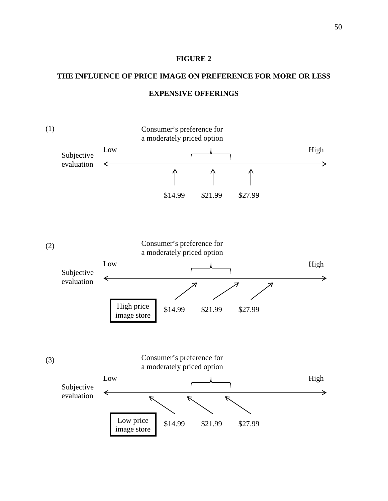#### **FIGURE 2**

## **THE INFLUENCE OF PRICE IMAGE ON PREFERENCE FOR MORE OR LESS EXPENSIVE OFFERINGS**

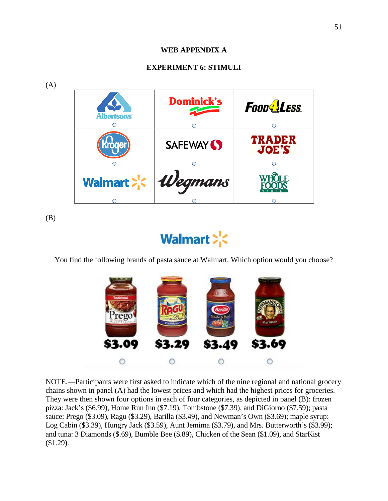## **WEB APPENDIX A**

## **EXPERIMENT 6: STIMULI**



(B)

# Walmart > <

You find the following brands of pasta sauce at Walmart. Which option would you choose?



NOTE.—Participants were first asked to indicate which of the nine regional and national grocery chains shown in panel (A) had the lowest prices and which had the highest prices for groceries. They were then shown four options in each of four categories, as depicted in panel (B): frozen pizza: Jack's (\$6.99), Home Run Inn (\$7.19), Tombstone (\$7.39), and DiGiorno (\$7.59); pasta sauce: Prego (\$3.09), Ragu (\$3.29), Barilla (\$3.49), and Newman's Own (\$3.69); maple syrup: Log Cabin (\$3.39), Hungry Jack (\$3.59), Aunt Jemima (\$3.79), and Mrs. Butterworth's (\$3.99); and tuna: 3 Diamonds (\$.69), Bumble Bee (\$.89), Chicken of the Sean (\$1.09), and StarKist (\$1.29).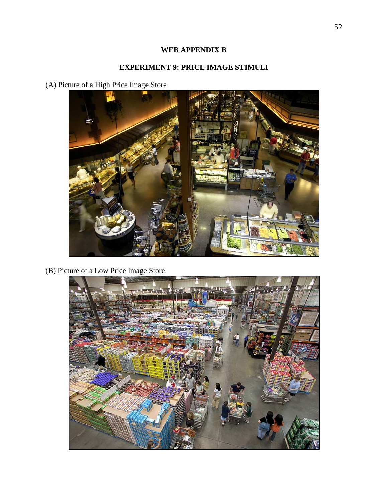## **WEB APPENDIX B**

## **EXPERIMENT 9: PRICE IMAGE STIMULI**

(A) Picture of a High Price Image Store



(B) Picture of a Low Price Image Store

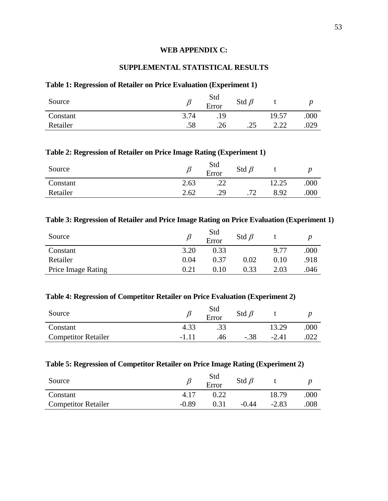### **WEB APPENDIX C:**

## **SUPPLEMENTAL STATISTICAL RESULTS**

## **Table 1: Regression of Retailer on Price Evaluation (Experiment 1)**

| Source   |      | Std<br>Error | Std $\beta$ |                                                                          |      |
|----------|------|--------------|-------------|--------------------------------------------------------------------------|------|
| Constant | 3.74 | .19          |             | 19.57                                                                    | .000 |
| Retailer | .58  | .26          | ر__         | າ າາ<br>$\overline{\phantom{a}}\ldots\overline{\phantom{a}}\hspace{cpt}$ | .029 |

#### **Table 2: Regression of Retailer on Price Image Rating (Experiment 1)**

| Source   |      | Std<br>Error | Std $\beta$ |      |      |
|----------|------|--------------|-------------|------|------|
| Constant | 2.63 | .∠∠          |             |      | .000 |
| Retailer | 2.62 | .29          | 70          | 8.92 | .000 |

## **Table 3: Regression of Retailer and Price Image Rating on Price Evaluation (Experiment 1)**

| Source                    |      | Std<br>Error | Std $\beta$ |      |      |
|---------------------------|------|--------------|-------------|------|------|
| Constant                  | 3.20 | 0.33         |             | 9.77 | 000  |
| Retailer                  | 0.04 | 0.37         | $0.02\,$    | 0.10 | .918 |
| <b>Price Image Rating</b> | 0.21 | 0.10         | 0.33        | 2.03 | 046  |

#### **Table 4: Regression of Competitor Retailer on Price Evaluation (Experiment 2)**

| Source                     |      | Std<br>Error | Std $\beta$ |         |      |
|----------------------------|------|--------------|-------------|---------|------|
| Constant                   |      |              |             | 13.29   | .000 |
| <b>Competitor Retailer</b> | -111 | .46.         | -.38        | $-2.41$ |      |

## **Table 5: Regression of Competitor Retailer on Price Image Rating (Experiment 2)**

| Source                     |         | Std<br>Error | Std $\beta$ |         |      |
|----------------------------|---------|--------------|-------------|---------|------|
| Constant                   | 4.17    | $22^{\circ}$ |             | 18.79   | .000 |
| <b>Competitor Retailer</b> | $-0.89$ |              | $-0.44$     | $-2.83$ | .008 |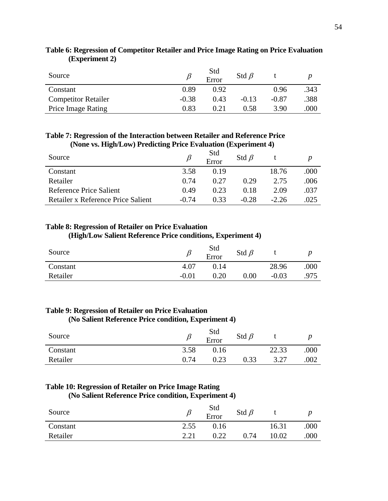| Source                     |         | Std<br>Error | Std $\beta$ |         |      |
|----------------------------|---------|--------------|-------------|---------|------|
| Constant                   | 0.89    | 0.92         |             | 0.96    | .343 |
| <b>Competitor Retailer</b> | $-0.38$ | 0.43         | $-0.13$     | $-0.87$ | .388 |
| <b>Price Image Rating</b>  | 0.83    | 0.21         | 0.58        | 3.90    | .000 |

## **Table 6: Regression of Competitor Retailer and Price Image Rating on Price Evaluation (Experiment 2)**

## **Table 7: Regression of the Interaction between Retailer and Reference Price (None vs. High/Low) Predicting Price Evaluation (Experiment 4)**

| Source                             |         | Std<br>Error | Std $\beta$ |         |      |
|------------------------------------|---------|--------------|-------------|---------|------|
| Constant                           | 3.58    | 0.19         |             | 18.76   | .000 |
| Retailer                           | 0.74    | 0.27         | 0.29        | 2.75    | .006 |
| Reference Price Salient            | 0.49    | 0.23         | 0.18        | 2.09    | .037 |
| Retailer x Reference Price Salient | $-0.74$ | 0.33         | $-0.28$     | $-2.26$ | .025 |

## **Table 8: Regression of Retailer on Price Evaluation**

## **(High/Low Salient Reference Price conditions, Experiment 4)**

| Source   |         | Std<br>Error | Std $\beta$ |         |      |
|----------|---------|--------------|-------------|---------|------|
| Constant | 4.07    | 0.14         |             | 28.96   | 000  |
| Retailer | $-0.01$ | $0.20\,$     | 0.00        | $-0.03$ | .975 |

## **Table 9: Regression of Retailer on Price Evaluation**

## **(No Salient Reference Price condition, Experiment 4)**

| Source   |      | Std<br>Error | Std $\beta$ |       |      |
|----------|------|--------------|-------------|-------|------|
| Constant | 3.58 | 0.16         |             | 22.33 | ,000 |
| Retailer | 0.74 | 0.23         | 0.33        |       | 002  |

## **Table 10: Regression of Retailer on Price Image Rating**

## **(No Salient Reference Price condition, Experiment 4)**

| Source   |      | Std<br>Error | Std $\beta$ |       |      |
|----------|------|--------------|-------------|-------|------|
| Constant | 2.55 | J.16         |             | 16.31 | .000 |
| Retailer | 2.21 | 0.22         | 0.74        | 10.02 | .000 |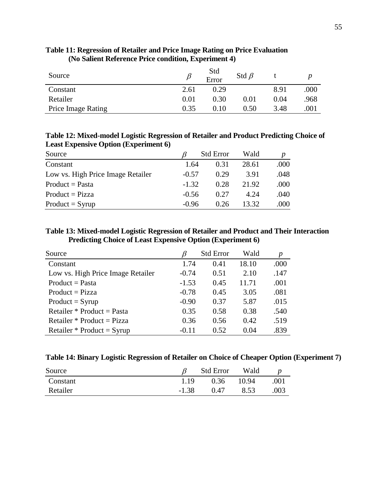| Source                    |      | Std<br>Error | Std $\beta$ |      |      |
|---------------------------|------|--------------|-------------|------|------|
| Constant                  | 2.61 | 0.29         |             | 8.91 | .000 |
| Retailer                  | 0.01 | 0.30         | 0.01        | 0.04 | .968 |
| <b>Price Image Rating</b> | 0.35 | 0.10         | 0.50        | 3.48 | 001  |

## **Table 11: Regression of Retailer and Price Image Rating on Price Evaluation (No Salient Reference Price condition, Experiment 4)**

**Table 12: Mixed-model Logistic Regression of Retailer and Product Predicting Choice of Least Expensive Option (Experiment 6)**

| Source                            |         | <b>Std Error</b> |       |      |
|-----------------------------------|---------|------------------|-------|------|
| Constant                          | 1.64    | 0.31             | 28.61 | .000 |
| Low vs. High Price Image Retailer | $-0.57$ | 0.29             | 3.91  | .048 |
| $Product = Pasta$                 | $-1.32$ | 0.28             | 21.92 | .000 |
| $Product = Pizza$                 | $-0.56$ | 0.27             | 4.24  | .040 |
| $Product = Syrup$                 | $-0.96$ | 0.26             | 13.32 | .000 |

## **Table 13: Mixed-model Logistic Regression of Retailer and Product and Their Interaction Predicting Choice of Least Expensive Option (Experiment 6)**

| Source                            |         | <b>Std Error</b> | Wald  | p    |
|-----------------------------------|---------|------------------|-------|------|
| Constant                          | 1.74    | 0.41             | 18.10 | .000 |
| Low vs. High Price Image Retailer | $-0.74$ | 0.51             | 2.10  | .147 |
| $Product = Pasta$                 | $-1.53$ | 0.45             | 11.71 | .001 |
| $Product = Pizza$                 | $-0.78$ | 0.45             | 3.05  | .081 |
| $Product = Syrup$                 | $-0.90$ | 0.37             | 5.87  | .015 |
| Retailer * Product = Pasta        | 0.35    | 0.58             | 0.38  | .540 |
| Retailer * Product = Pizza        | 0.36    | 0.56             | 0.42  | .519 |
| Retailer * Product = $Syrup$      | $-0.11$ | 0.52             | 0.04  | .839 |

| Table 14: Binary Logistic Regression of Retailer on Choice of Cheaper Option (Experiment 7) |  |  |  |  |
|---------------------------------------------------------------------------------------------|--|--|--|--|
|                                                                                             |  |  |  |  |

| Source   |         | <b>Std Error</b> | Wald  |      |
|----------|---------|------------------|-------|------|
| Constant | 1.19    | 0.36             | 10.94 | .001 |
| Retailer | $-1.38$ | 0.47             | 8.53  | .003 |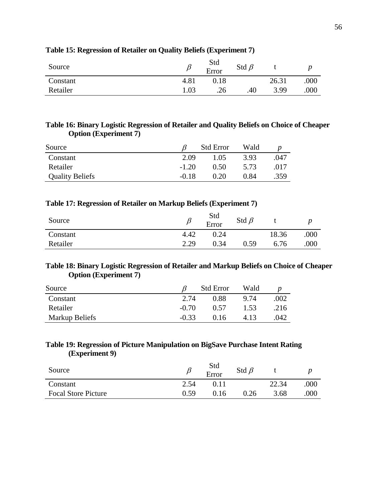| Source   |      | Std<br>Error | Std $\beta$ |       |      |
|----------|------|--------------|-------------|-------|------|
| Constant | 4.81 | $0.18\,$     |             | 26.31 | .000 |
| Retailer | 1.03 | .26          | .40         | 3.99  | .000 |

## **Table 15: Regression of Retailer on Quality Beliefs (Experiment 7)**

## **Table 16: Binary Logistic Regression of Retailer and Quality Beliefs on Choice of Cheaper Option (Experiment 7)**

| Source                 |         | <b>Std Error</b> | Wald |      |
|------------------------|---------|------------------|------|------|
| Constant               | 2.09    | 1.05             | 3.93 | .047 |
| Retailer               | $-1.20$ | 0.50             | 5.73 | .017 |
| <b>Quality Beliefs</b> | $-0.18$ | 0.20             | 0.84 | .359 |

## **Table 17: Regression of Retailer on Markup Beliefs (Experiment 7)**

| Source   |      | Std<br>Error | Std $\beta$ |       |      |
|----------|------|--------------|-------------|-------|------|
| Constant | 4.42 | 0.24         |             | 18.36 | .000 |
| Retailer | 2.29 | 0.34         | 0.59        | 6.76  | .000 |

## **Table 18: Binary Logistic Regression of Retailer and Markup Beliefs on Choice of Cheaper Option (Experiment 7)**

| Source         |         | <b>Std Error</b> | Wald |      |
|----------------|---------|------------------|------|------|
| Constant       | 2.74    | 0.88             | 9.74 | .002 |
| Retailer       | $-0.70$ | 0.57             | 1.53 | .216 |
| Markup Beliefs | $-0.33$ | 0.16             | 4.13 | .042 |

## **Table 19: Regression of Picture Manipulation on BigSave Purchase Intent Rating (Experiment 9)**

| Source                     |      | Std<br>Error | Std $\beta$ |       |      |
|----------------------------|------|--------------|-------------|-------|------|
| Constant                   | 2.54 |              |             | 22.34 | .000 |
| <b>Focal Store Picture</b> | 0.59 | 0.16         | 0.26        | 3.68  | 000  |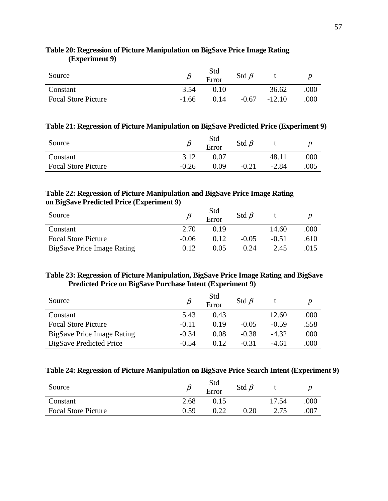| Source                     |         | Std<br>Error | Std $\beta$ |          |      |
|----------------------------|---------|--------------|-------------|----------|------|
| Constant                   | 3.54    | $0.10^{-}$   |             | 36.62    | 000  |
| <b>Focal Store Picture</b> | $-1.66$ | 0.14         | $-0.67$     | $-12.10$ | .000 |

## **Table 20: Regression of Picture Manipulation on BigSave Price Image Rating (Experiment 9)**

### **Table 21: Regression of Picture Manipulation on BigSave Predicted Price (Experiment 9)**

| Source                     |         | Std<br>Error | Std $\beta$ |         |      |
|----------------------------|---------|--------------|-------------|---------|------|
| Constant                   | 3.12    | 0.07         |             | 48.11   | .000 |
| <b>Focal Store Picture</b> | $-0.26$ | 0 O 9        | $-0.21$     | $-2.84$ | .005 |

## **Table 22: Regression of Picture Manipulation and BigSave Price Image Rating on BigSave Predicted Price (Experiment 9)**

| Source                     |         | Std<br>Error | Std $\beta$ |         |      |
|----------------------------|---------|--------------|-------------|---------|------|
| Constant                   | 2.70    | 0.19         |             | 14.60   | .000 |
| <b>Focal Store Picture</b> | $-0.06$ | 0.12         | $-0.05$     | $-0.51$ | .610 |
| BigSave Price Image Rating | 0. I 2  | 0.05         | 0.24        | 2.45    | .015 |

## **Table 23: Regression of Picture Manipulation, BigSave Price Image Rating and BigSave Predicted Price on BigSave Purchase Intent (Experiment 9)**

| Source                         |         | Std<br>Error | Std $\beta$ |         |      |
|--------------------------------|---------|--------------|-------------|---------|------|
| Constant                       | 5.43    | 0.43         |             | 12.60   | .000 |
| <b>Focal Store Picture</b>     | $-0.11$ | 0.19         | $-0.05$     | $-0.59$ | .558 |
| BigSave Price Image Rating     | $-0.34$ | 0.08         | $-0.38$     | $-4.32$ | .000 |
| <b>BigSave Predicted Price</b> | $-0.54$ | 0.12         | $-0.31$     | $-4.61$ | .000 |

## **Table 24: Regression of Picture Manipulation on BigSave Price Search Intent (Experiment 9)**

| Source                     |      | Std<br>Error | Std $\beta$ |       |      |
|----------------------------|------|--------------|-------------|-------|------|
| Constant                   | 2.68 | 0.15         |             | 17.54 | 000  |
| <b>Focal Store Picture</b> | 0.59 |              | $\rm 0.20$  |       | .007 |